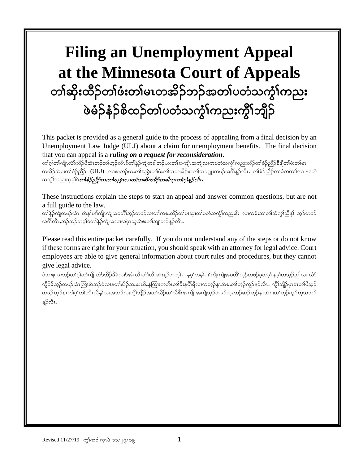# **Filing an Unemployment Appeal at the Minnesota Court of Appeals** တၢ်ဆိုးထိဉ်တၢ်ဖံးတ၊်မၤတအိဉ်ဘဉ်အတ၊်ပတံသက္ငံ၊်ကညး ဖဲခ်ဉ်နံဉ်စိထဉ်တ္ပ်ပတံသက္ခံၤကားကွိၤဘျဉ်

This packet is provided as a general guide to the process of appealing from a final decision by an Unemployment Law Judge (ULJ) about a claim for unemployment benefits. The final decision that you can appeal is a *ruling on a request for reconsideration*.

တၢ်ဂုၢ်တၢ်ကျိၤလံာ်ဘိဉ်ဖိအံၤဘဉ်တ၊်ဟှဉ်လီၤဒ်တ၊်နှဉ်ကျဲတခါဘဉ်ယးတ၊်အကျိုၤအကျဲလၢကပတံသက္ဂၤ်ကညးထိဉ်တ၊်စံဉညီဉ်ခီဖျိတ၊်ဖံးတ၊်မၤ တအိဉ်သဲစးတၢ်စံဉ်ညီဉ် (ULJ) လၢအဘဉ်ယးတ၊်ယူခွဲးတ၊်ဖံးတ၊်မၤတအိဉ်အတ၊်မၤဘျူးတဖဉ်အဂိၢ်နူဉ်လီၤ. တ၊်စံဉ်ညီဉ်လ၊ခံကတၢါလ၊ နပတံ သင်္က<sup>ရ</sup>ကညးသမ့**်ပဲ***တစ်စ်ဉ်သိုဉ်လ၊တစ်ယူခွဲးလ၊တၤ်ကဆိကမိဉ်ကငါက္***ၤတၢ်ဂု***န်ူဉ်လီး* 

These instructions explain the steps to start an appeal and answer common questions, but are not a full guide to the law.

တါနဲဉ်ကျဲတဖဉ်အံၤ တဲနၢ်ပၢါကျိုကျဲအပတိါသူဉ်တဖဉ်လ၊တၢ်ကစးထိဉ်တ၊်ပ၊ဆု၊တၢ်ပတံသက္ဂံ၊်ကညးဒီး လ၊ကစံးဆ၊တ၊်သံကျွဴညီနှ၊် သူဉ်တဖဉ် အင်္ဂါလီၤႇဘဉ်ဆဉ်တမ့္ပါတ္)နဲ့ဉ်ကျဲအလၢအပုံၤဆူသဲစးတ၊်ဘျ၊ဘဉ်န္ဥလီၤႉ

Please read this entire packet carefully. If you do not understand any of the steps or do not know if these forms are right for your situation, you should speak with an attorney for legal advice. Court employees are able to give general information about court rules and procedures, but they cannot give legal advice.

စံသးစူးဖးဘဉ်တက်ပြက်ကျိုးလံာ်ဘိဉ်ဖိခဲလျာ်အီးလီးတီးလီးဆဲးနဉ်တက္ငါ. နမ္နါတန1်ပၢါကျိုးကျဲအပတိၢ်သွဉ်တဖဉ်မှတမှါ နမ္နါတသူဉ်ညါလ၊ လံဉ ကွိဉ်ဒိသုဉ်တဖဉ်အံၤကြုးဝဲဘဉ်ဝဲလၢနတၢ်အိဉ်သးအယိႇနကြုးကတိၤတၢ်ဒီးနပိါရီလ၊ကဟုဉ်နၤသဲစးတ၊်ဟုဉ်ကူဉ်နူဉ်လီၤ. ကွိၢ်ဘျိဉ်ပုၤမၤတၢ်ဖိသုဉ် wz. [h.eRw>\*h>w>usdRnDEk>vXtb.C;uGD>bsD.tw>od.w>oD'D; tusdRtusJoh.wz.oh < b.q. [h.eRo Jp;w>[h.ul. who b. နဉ်လီၤ.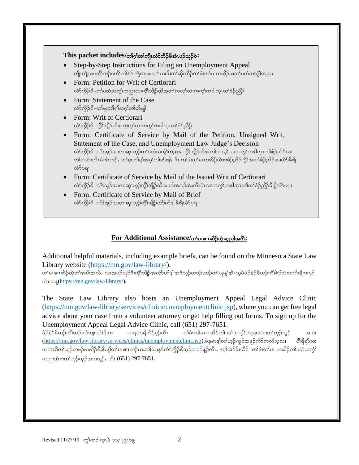#### This packet includes/တာ်ဤကျိုလ်ာ်ဘိဉ်ဖိအံၤပဉ်ယှဉ်**ဲ**:

- Step-by-Step Instructions for Filing an Unemployment Appeal ကျိုးကျဲအပတိၢ်ဘဉ်ပတိၢ်တ၊်နဲဉ်ကျဲလၢအဘဉ်ယးဒီးတ၊်ဆိုးထိဉ်တ၊်ဖံးတ၊်မၤတအိဉ်အတ၊်ပတံသကွံၤ်ကညး
- Form: Petition for Writ of Certiorari လံာ်ကိုဉ်<sup>ဒွိ</sup>–တၤ်ပတံသကဲ့ၤ်ကညးလၢကိုၤ်ဘျိဉ်ထိအတၤ်ကလုၤ်လၤကကွၤ်ကဒါက္ၤတၢ်စံဉ်ညီဉ်
- Form: Statement of the Case လံာ်ကွိဉ်ဒိ–တါမူးတါရၢ်အဂ္ဂါတါဟ်ဖျါ
- Form: Writ of Certiorari လ်ာ်ကွိဉ်ဒိ–ကွိၤ်ဘျိဉ်ထိအကလုၤ်လၤကကွၤ်ကဒါကူၤတၢ်စံဉ်ညီဉ်
- Form: Certificate of Service by Mail of the Petition, Unsigned Writ, Statement of the Case, and Unemployment Law Judge's Decision လ်ာ်ကွိဉ်ဒိ–လ်ာအုဉ်သးလ၊ဆု၊ဟူဉ်တ၊်ပတံသကွံၤ်ကညး,ကွိၢ်ဘျိဉ်ထိအတၤ်ကလု၊်လ၊ကကွၤ်ကဒါကူၤတၢ်စံဉ်ညိဉ်လ၊ တ)်တဆဲးလီၤမံၤဒံးဘဉ်, တ၊်မူးတ၊်ရၢ်အဂ္ဂါတ၊်ဟ်ဖျါ, ဒီး တ၊်ဖံးတ၊်မၤတအိဉ်သံစးစံဉ်ညီဉ်ကွိၤ်အတ၊်စံဉ်ညီဉ်ဆ၊တဲာ်ခီဖျိ လံ>်ပရາ
- Form: Certificate of Service by Mail of the Issued Writ of Certiorari လ်ာ်ကွိဉ်ဒိ–လ်ာ်အုဉ်သးလၢဆု၊ဟုဉ်ကွိၢ်ဘျိုာ်ထိအတ၊်ကလု၊်ဆဲးလီၤမံၤလ၊ကကွ၊်ကဒါက္ၤတ၊်တ၊်စံဉ်ညိဉ်ခီဖျိလံာ်ပရ၊
- Form: Certificate of Service by Mail of Brief လံာ်ကွိဉ်ဒိ–လံာ်အှဉ်သးလၢဆု၊ဟူဉ်ကွိၢ်ဘျိဉ်လံာဟ်ဖျါခီဖျိလံာပရ၊

#### $For Additional Assistance/$ တ်မလေးဆိ**်ထွဲဆူညါအ**ဂို:

Additional helpful materials, including example briefs, can be found on the Minnesota State Law Library website [\(https://mn.gov/law-library/\)](https://mn.gov/law-library/).

တါမၤစၢၤဆိဉ်ထွဲတါအပီးအလိႆႇ လၢအပဉ်ယှာ်ဒီးကွိၢ်ဘျိဉ်အလံာ်ဟ်ဖျါအဒိသ့ဉ်တဖဉ်ႇဘဉ်တါယုန္၊်အီၤသုဖဲမံဉ်နံဉ်စိထဉ်ကိၢ်စဉ်သဲစးလံာ်ရိဒၢးပှာ်  $\omega$ เวง [\(https://mn.gov/law-library/\)](https://mn.gov/law-library/).

The State Law Library also hosts an Unemployment Appeal Legal Advice Clinic [\(https://mn.gov/law-library/services/clinics/unemploymentclinic.jsp\)](https://mn.gov/law-library/services/clinics/unemploymentclinic.jsp), where you can get free legal advice about your case from a volunteer attorney or get help filling out forms. To sign up for the Unemployment Appeal Legal Advice Clinic, call (651) 297-7651.

မံဉ်နံဉ်စိထဉ်ကိါဆဉ်တါဘျ၊လံာ်ရိဒၢး ကရၢကရိထိဉ်စ့ဉ်ကိႏ တါဖံးတါမၤတအိဉ်တါပတံသကွဲါကညးသဲစးတါဟုဉ်ကူဉ် အဒၢး [\(https://mn.gov/law-library/services/clinics/unemploymentclinic.jsp\)](https://mn.gov/law-library/services/clinics/unemploymentclinic.jsp),ဖဲနမၤန္န)တာ်ဟုဉ်ကူဉ်အဖုဉ်ကိသ်ကလီသ့လၢ ပိၢရိမှာ်သး မၤကလီတၢ်သူဉ်တဖဉ်အအိဉ်ဒီးဒိးန္၊်တ၊်မၤစၢၤဘဉ်ယးတ၊်ထၢနုာ်လံာ်ကွိဉ်ဒိသူဉ်တဖဉ်နူဉ်လီၤ. နမ္၊်အဲဉ်ဒိးထိဉ် တ၊်ဖံးတ၊်မၤ တအိဉ်တ၊်ပတံသကွံ၊် ကညးသဲစးတါဟုဉ်ကူဉ်အဒၢးန္ဉာ်, ကိႏ (651) 297-7651.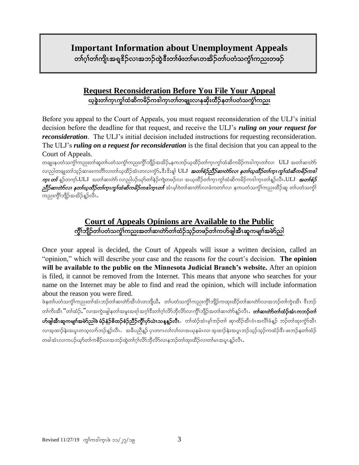# **Important Information about Unemployment Appeals**

တၢ်ဂ္ဂါတၢ်ကျိၤအရူဒိဉ်လၢအဘဉ်ထွဲဒီးတၢ်ဖံးတ၊်မၤတအိဉ်တၢ်ပတံသက္ခံၤ်ကညးတဖဉ် ֬֘֝֬

#### **Request Reconsideration Before You File Your Appeal** ယ္)ခဲ့းတ္ပါက္စ္ပၤတ္ပါထဲ့ဆိုက္ၿမိဳက္ခဲ့တာပါက္စ္ပုထားေလးနသုံးထိုဥနတ္ပါပတဲ့သက္စ္ပါကညး

Before you appeal to the Court of Appeals, you must request reconsideration of the ULJ's initial decision before the deadline for that request, and receive the ULJ's *ruling on your request for reconsideration*. The ULJ's initial decision included instructions for requesting reconsideration. The ULJ's *ruling on a request for reconsideration* is the final decision that you can appeal to the Court of Appeals.

တချူးနပတံသကဲ့်္ဂကညးတ၊်ဆူတ၊်ပတံသကဲ့့်္ဂကညးကို့္ပ်ဘျိဉ်အအိဉ်ႇနကဘဉ်ယ္နထိဉ်တ၊်က္ဥက္ဥပြဲဆိုကမိဉ်ကဒါက္ဥတ္(လ) ULJ အတ္ လျညါတချုးတါသူဉ်ဆ၊ဖးကတိၤ်လ၊တါယ္ထိိဉ်အံၤတလ၊ကွဲာ်ႇဒီးဒိုးန္<sup>န</sup> ULJ *အတ်စံဉ်ညီဉ်ဆ၊တဲဉ်လ၊ နတၤ်ယ္ထိော်တ္၊ ကွၤ်ထံဆိကမိဉ်ကဒါ*  $\eta$ ား တ $\delta$  န္ဥ္ဘ်ဝာက္ပါ.ULJ ့အတၤ်ဆ၊တဲာ် လၢည္ပါပဉ်ယှာ်တၤ်နှဉ်ကျဲတဖဉ်လ၊ အယ္ဒထိဉ်တၤ်က္လၤက္ဂၤ်ထိက်တိုက်ပါတီကို အတည်စ  $\rho$ ္ကာိန္မွာကား မွာက်င္တာကားက်င္းက်င္းက်င္းကုတ္ေကာင္း အသက္ အသက္သက္သက္သက္သက္သက္လာကာ အထက္လာက္သက္လာ ကညးကွိၢ်ဘျိဉ်အအိဉ်နဉ်လီၤ.

### **Court of Appeals Opinions are Available to the Public** uGD>bsD.w>ywHouG H>un;tw>qXwJmw>xH.oh.wz.w>uymzsgtDRqlursX>trJmng

Once your appeal is decided, the Court of Appeals will issue a written decision, called an "opinion," which will describe your case and the reasons for the court's decision. **The opinion will be available to the public on the Minnesota Judicial Branch's website.** After an opinion is filed, it cannot be removed from the Internet. This means that anyone who searches for your name on the Internet may be able to find and read the opinion, which will include information about the reason you were fired.

ဖဲနတၤ်ပတံသက္ဂါကညးတါအံၤဘဉ်တါဆ၊တဲာ်အီၤဝံၤတဘျီယီႇ တၤ်ပတံသက္ဂါကညးကွိါဘျိဉ်ကထူးထိဉ်တါဆ၊တဲာ်လ၊အဘဉ်တါကွဲးအီၤ ဒီးဘဉ် တၢ်ကိုးအီၤ "တၢ်ထံဉ်,"လၢအကွဲးဖျါနတၢ်အမူးအရၢ်အဂ္ဂါဒီးတၢ်ဂ္ဂါလိာဘိုလိာလ၊ကိုၢ်ဘျိဉ်အတၢ်ဆ၊တဲာနှဉ်လီၤ . **တ၊်ဆ၊တာ်တ၊်ထံဉ်အံၤကဘဉ်တ၊်** တ်ဖျါအီၤ<mark>ဆုကမျπ်အမဲာ်ညါဖဲ မံဉ်နံဉ်စိထဉ်စံဉ်ညီဉ်ကွိၤ်ပုာယဲၤသန္နန္ဉါလီၤ.</mark>ာက်ထံဉ်အံၤမ့္ပ်ဘဉ်တ္၊ ဆု၊ထိဉ်အီၤဝံၤအလိၢ်ခံနှဉ် ဘဉ်တၤ်ထုးကွဲာ်အီၤ လၢအ့ထၢဉ်နဲးအပူၤတသ့လၢာ်ဘဉ်န္ဉ်ာလီၤ အခ်ီပညီန္ဉာ် ပုၤတဂၤလၤ်လၤ်လ၊အယုနမံၤလ၊ အ့ထၢဉ်နဲးအပူၤဘဉ်သူဉ်ကထံဉ်ဒီး ဖးဘဉ်နတၤ်ထံဉ တခါအံၤလၢကပဉ်ယှာ်တက်စဉ်လ၊အဘဉ်ထဲ့တဂ်ဂ္ဂါလိာဘိုလိာ်လ၊နဘဉ်တ၊်ထူးထိဉ်လ၊တ၊်မၤအပူၤနဉ်လီၤ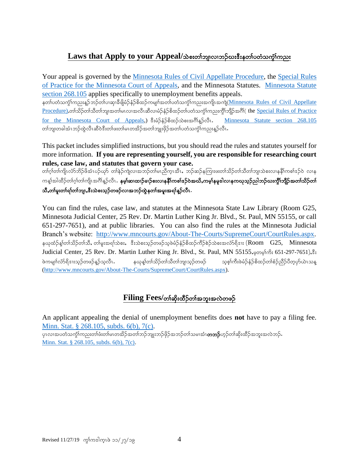# Laws that Apply to your Appeal/သဲစးတ<sup>ှ</sup>ဘျလ၊ဘဉ်ယး<sup>8</sup>းနတ<sup>်ု</sup>ပတံသက္ခ်၊်ကညး

Your appeal is governed by the [Minnesota Rules of Civil Appellate Procedure,](https://www.revisor.mn.gov/court_rules/ap/) the Special Rules [of Practice for the Minnesota Court of Appeals,](http://www.mncourts.gov/mncourtsgov/media/Appellate/Court%20of%20Appeals/Special_Rules_of_Practice_COA.pdf) and the Minnesota Statutes. [Minnesota Statute](https://www.revisor.mn.gov/statutes/cite/268.105)  [section 268.105](https://www.revisor.mn.gov/statutes/cite/268.105) applies specifically to unemployment benefits appeals.

နတၤ်ပတံသက္ငါ်ကညးနူဉ်ဘဉ်တၤ်ပ၊ဆု၊ခီဖြိုမံဉ်နံဉ်စိထဉ်ကမျπ်အတၤ်ပတံသက္ငါ်ကညးအကျိုအက<u>ျဲ(Minnesota Rules of Civil Appellate</u> [Procedure\)](https://www.revisor.mn.gov/court_rules/ap/).တါသိဉ်တါသိတါဘျ၊အတါမၤလ၊အလီၤဆီလ၊မံဉ်နံဉ်စိထဉ်တါပတံသက္ဂါကညးကွိါဘိုဉ်အဂိါ( the Special Rules of Practice [for the Minnesota Court of Appeals,](http://www.mncourts.gov/mncourtsgov/media/Appellate/Court%20of%20Appeals/Special_Rules_of_Practice_COA.pdf)  $\frac{268.105}{268.105}$ တါဘျ၊တခါအံၤဘဉ်ထွဲလီၤဆီဝဲဒီးတါဖးတါမၤတအိဉ်အတါဘျ၊းဖိုဉ်အတါပတံသက္ငါကညးနဉ်လီၤ

This packet includes simplified instructions, but you should read the rules and statutes yourself for more information. **If you are representing yourself, you are responsible for researching court rules, case law, and statutes that govern your case.**

တၢ်ဂုံတ၊်ကျိၤလံာ်ဘိဉ်ဖိအံၤပဉ်ယှာ် တ၊်နဲဉ်ကျဲလ၊အဘဉ်တ၊်မၤညီကူးအီၤ,ဘဉ်ဆဉ်နကြူးဖးတ၊်သိဉ်တ၊်သိတ၊်ဘျ၊သဲစးလ၊နနိ1်ကစ၊်ဒဉ်ဝဲ လ၊န ကန္၊်အါထိဉ်တၢ်ဂ့ၢ်တၢ်ကျိၤအဂိၢန္ဉာလိၤ**. နမ့္သ်ဆၤထၤဉ်ခၢဉ်စးလၤနနိ႞ကစၢ်ဒဉ်ဝဲအဃိႇကမ္၊နမူဒါလၤနကၰသုဉ်ညါဘဉ်ဃးကွိၤ်ဘျိဉ်အတၢ်သိဉ်တ၊်** သီႇတၢ်မူးတၢ်ရၢ်တၢ်ဘျာႇဖီးသဲစးသူဉ်တဖဉ်လၢအဘဉ်ထွဲနတၢ်အမူးအရၢ်နူဉ်လီၤ.

You can find the rules, case law, and statutes at the Minnesota State Law Library (Room G25, Minnesota Judicial Center, 25 Rev. Dr. Martin Luther King Jr. Blvd., St. Paul, MN 55155, or call 651-297-7651), and at public libraries. You can also find the rules at the Minnesota Judicial Branch's website: [http://www.mncourts.gov/About-The-Courts/SupremeCourt/CourtRules.aspx.](http://www.mncourts.gov/About-The-Courts/SupremeCourt/CourtRules.aspx) နယုထံဉ်နစ်တာ်သိဉ်တာ်သိ, တာ်မူးအရာ်သဲစး, ဒီးသဲစးသုဉ်တဖဉ်သူဖဲမံဉ်နံဉ်စိထဉ်ကီဉ်စဲဉ်သဲစးအလံာ်ရိဒးး ( $\rm Room$   $\rm G25,$   $\rm Minnesota$ Judicial Center, 25 Rev. Dr. Martin Luther King Jr. Blvd., St. Paul, MN 55155, pop 63: 651-297-7651), &: ဖဲကမျာ်လံာရိုဒူးသည်တဖဉ်နဉ်သူလီး. နယုနှာ်တင်္သည်တင်္သတ္တိကျသည်တဖဉ် သူစွာ်ကီးဖဲမံဉ်နံဉ်စိထဉ်တစ်ဦညီဉ်ပီတူဟ်ယဲၤသန္ [\(http://www.mncourts.gov/About-The-Courts/SupremeCourt/CourtRules.aspx\)](http://www.mncourts.gov/About-The-Courts/SupremeCourt/CourtRules.aspx).

# $Filing\ Fees/$ တ်ဆိုးထိဉ်တ<sup>ို့</sup>အဘူးအလဲတဖဉ်

An applicant appealing the denial of unemployment benefits does **not** have to pay a filing fee. [Minn. Stat. § 268.105, subds. 6\(b\), 7\(c\).](https://www.revisor.mn.gov/statutes/?id=268.105) ှားလၢအပတံသက္ခါကညးတါဖံးတါမၤတအိဉ်အတါဘဉ်ဘူူးဘဉ်ဖိုဉ်အဘဉ်တါသမၢအံၤ**တဘဉ်**ဟ္ဉ်ာတါဆိုးထိဉ်အဘူးအလဲဘဉ်**.** [Minn. Stat. § 268.105, subds. 6\(b\), 7\(c\).](https://www.revisor.mn.gov/statutes/?id=268.105)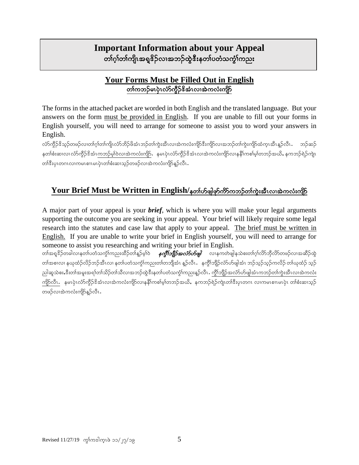# **Important Information about your Appeal**  တၢ်ဂ္ဂါတၢ်ကျိၤအရှုဒိဉ်လၢအဘဉ်ထွဲဒီးနတၢ်ပတံသက္ဂၤ်ကညး

# **Your Forms Must be Filled Out in English** တၢ်ကဘဉ်မၤပဲ့ၤလံာ်ကိုဉ် $\mathbf{\hat{s}}$ အံၤလၢအဲကလံးကျိဉ်

The forms in the attached packet are worded in both English and the translated language. But your answers on the form must be provided in English. If you are unable to fill out your forms in English yourself, you will need to arrange for someone to assist you to word your answers in English.

လ်ာ်ကွိဉ်ဒိသှဉ်တဖဉ်လ၊တ၊်ဂ့ၢ်တ၊်ကျိၤလံာ်ဘိဉ်ဖိအံၤဘဉ်တ၊်ကွဲးအီၤလ၊အဲကလံးကျိာဒီးကျိာ်လ၊အဘဉ်တ၊်ကွဲးကျိာ်ထံကူၤအီၤန္ဉာလီၤ နတၢ်စီးဆ၊လ၊ လံာ်ကွိဉ်ဒိအံၤကဘဉ်မ့၊်ဝဲလ၊အဲကလံးကျိာ်. နမၤပုံၤလံာ်ကွိဉ်ဒိအံၤလ၊အဲကလံးကျိာ်လ၊နနိ1်ကစါမ့၊်တဘဉ်အယိႇ နကဘဉ်ရဲဉ်ကျဲၤ တါဒီးပုၤတဂၤလၢကမၤစၢၤမၤပုဲၤတၢ်စံးဆၢသ့ဉ်တဖဉ်လၢအဲကလံးကျိာ်နှဉ်လီၤ $\boldsymbol{\cdot}$ 

# **Your Brief Must be Written in English/နတၤ်တို့ဖျံဖှာ်ကိုကာသိုတ်ကွဲးအီးလ၊အဲကလုံးကျိုင်**

A major part of your appeal is your *brief*, which is where you will make your legal arguments supporting the outcome you are seeking in your appeal. Your brief will likely require some legal research into the statutes and case law that apply to your appeal. The brief must be written in English. If you are unable to write your brief in English yourself, you will need to arrange for someone to assist you researching and writing your brief in English.

တၢ်အရူဒိဉ်တခါလၢနတၢ်ပတံသက္ဂၢ်ကညးထိဉ်တၢ်နှဉ်မ့ၢ်ဝဲ *နက္ဂ်ာဘျိဉ်အ<i>လံ5ဟ်ဖျ***ါ** လၢနကတဲဖျါနသဲစးတၢ်ဂ္၊်လိာဘိုလိာ်တဖဉ်လၢအဆိဉ်ထွဲ တၢ်အစၢလ၊ နယုထံဉ်လိဉ်ဘဉ်အီၤလ၊ နတၢ်ပတံသကွံၢ်ကညးတၢ်တဘျီအံၤ နူဉ်လီၤ.နကွိၢ်ဘျိဉ်လံာ်ဟ်ဖျါအံၤ ဘဉ်သူဉ်ကလိဉ် တ၊်ယုထံဉ် သူဉ် ညါဆူသဲစးႇဒီးတၢ်အမူးအရၢ်တၢ်သိဉ်တၢ်သိလၢအဘဉ်ထွဲဒီးနတၢ်ပတံသကွံၤ်ကညးနှဉ်လီၤ . ကွိၢ်ဘျိဉ်အလံာ်ပာ်ဖျါအံၤကဘဉ်တ၊်ကွဲးအီၤလၢအဲကလံး ကျိဉ်လီၤ. နမၤပုံၤလံာ်ကွိဉ်ဒိုအံၤလၢအဲကလံးကျိဉ်လၢနနိၤ်ကစါမ့္ပ်တဘဉ်အယိႇ နကဘဉ်ရဲဉ်ကျဲၤတၢ်ဒီးပုၤတဂၤ လၢကမၤစၢၤမၤပုံၤ တၢဴစီးဆၢသ္ဉ် တဖဉ်လၢအဲကလုံးယျွန်ဥတို**.**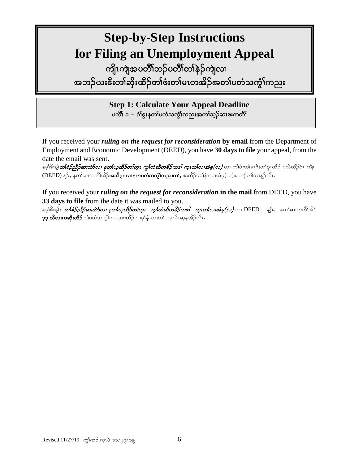# **Step-by-Step Instructions for Filing an Unemployment Appeal**

ကျိၤကျဲအပတိိၢ်ဘဉ်ပတိိၢတၢ်နဲဉ်ကျဲလၢ အဘဉ်ဃးဇီးတၢ်ဆိုးထိဉ်တၢ်ဖံးတ၊်မၤတအိဉ်အတၢ်ပတံသက္ဂၢ်ကညး

> **Step 1: Calculate Your Appeal Deadline** ပတိၢ် ၁ – ဂံၢ်ဴဒူးနတၢ်ပတံသက္ဂၢ်ကညးအတၢ်သူဉ်ဆၢဖးကတိၢ်

If you received your *ruling on the request for reconsideration* **by email** from the Department of Employment and Economic Development (DEED), you have **30 days to file** your appeal, from the date the email was sent.

နမ့<sup>ရှ</sup>ဒိးနှုံ*တၢ်စံဉ်သို့ဉ်ဆ၊တဲာ်လ၊ နတၤ်ယ္<i>ထိဉ်တၤ်ကူၤ ကွၤ်ထံဆိကမိဉ်ကဒါ က္ၤတၤ်လၤအံမူ(လ)* **လ၊ တၤ်ဖံးတၤ်မၤဒီးတၤ်ဂုၤထိဉ် ပသိထိဉ်ဝဲၤ ကျိၤ** (DEED) နူဉ်, နတၢ်ဆၢကတိၢ်အိဉ်**အသီ၃၀လၢနကပတံသက္ခံ၊်ကညးတ၊်,** စးထိဉ်ဖဲမှုန်ၤလ၊အံမှ(လ)အဘဉ်တ၊်ဆု၊နူဉ်လီၤ.

If you received your *ruling on the request for reconsideration* **in the mail** from DEED, you have **33 days to file** from the date it was mailed to you.

နမ့<sup>ရှ</sup>ဒိးနှုန *တ်စဉ်ညီဉ်ဆ၊တဲာ်လ၊ နတၤ်ယုထိဉ်တဂ်က္၊ ကွၢ်ထံဆိကမိဉ်ကစါ က္ၤတၤ်လ၊အံမှ(လ)* **လ၊ DEED နူဉ်, နတၤ်ဆ၊ကတိၤ်အိဉ်**  $\sim$ ၃၃ သီလ၊ကဆိုးထိိဉ်တ၊်ပတံသကွံ $\mid$ ကညးစးထိဉ်လ၊မု $\mid$ န်၊လ၊တ၊်ပရ၊ဃီၤဆူနအိဉ်လီၤ $\cdot$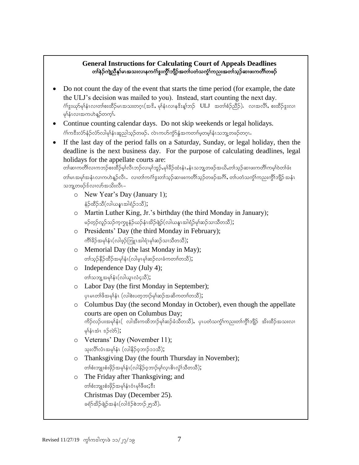#### **General Instructions for Calculating Court of Appeals Deadlines** တၢ်နဲဉ်ကျညီနှ၊်မၤအသးလၢနကင်္ဂၢဒွးကွိၢ်ဘျီဉ်အတၢ်ပတံသက္ငံ၊်ကညးအတ်၊်သူဉ်ဆ၊ဖးကတိၢ်တဖဉ်

- Do not count the day of the event that starts the time period (for example, the date the ULJ's decision was mailed to you). Instead, start counting the next day. က်နွးယှာ်မှါနံၤလ၊တါစးထိဉ်မၤအသးတဂ္ၤ(အဒိ $\centerdot$  မှါနံၤလ၊နဒိးန္1်ဘဉ်  $\verb|ULJ|$  အတါစံဉ်ညိဉ်). လ၊အလိၢ် $\centerdot$  စးထိဉ်နွးလ၊ မှါနံၤလၢအကဟဲနဉ်တက္ဂါ.
- Continue counting calendar days. Do not skip weekends or legal holidays. ဂံၢ်ကဒီးလံာ်နံဉ်လံာ်လါမှါနံၤဆူညါသုဉ်တဖဉ်. လဲၤကဟ်ကွဲာ်နွံ့အကတၢါမူတမှါနံၤသဘျ့တဖဉ်တဂူၤ.
- If the last day of the period falls on a Saturday, Sunday, or legal holiday, then the deadline is the next business day. For the purpose of calculating deadlines, legal holidays for the appellate courts are:

```
တါဆၢကတိါလ၊ကဘဉ်စးထိဉ်မှါလီၤဘဉ်လ၊မုါဘူဉ်,မုါခိဉ်ထံးနံၤႇနံၤသဘျ့တဖဉ်အယိႇတါသူဉ်ဆ၊ဖးကတိါကမ္ါဝဲတါဖံး
တါမၤအမှါအနံၤလၢကဟဲန္ဥာလီၤ. လၢတါကင်္ဂါဒွးတါသူဥ်ဆ၊ဖးကတိါသူဥ်တဖဉ်အင်္ဂါ, တါပတံသက္ဂါကညးကွိါဘျိဉ် အနံၤ
သဘုတဖဉ်န်လ၊လာ်အသိးလီၤ–
```
- o New Year's Day (January 1);  $\frac{1}{2}$ တိုက်သိုးကြွေးချွင့်ခြင်းချွင်း
- o Martin Luther King, Jr.'s birthday (the third Monday in January); မဉ်တုဉ်လှဉ်သဉ်ကဲ့ကျုနံဉ်ယဉ်နံၤအိဉ်ဖျဲဉ်(လါယနူၤအါရံဉ်မှၢ်ဆဉ်သၢသီတသီ);
- o Presidents' Day (the third Monday in February);  $\frac{1}{2}$ ကိါခိဉ်အမု $\frac{1}{2}$ န်း $(\infty)$ ဖွာ်ဘြူးအါရုံးမု $\frac{1}{2}$ ဆုသာသီတသီ $\frac{1}{2}$ ;
- o Memorial Day (the last Monday in May);  $\infty$ တ်သွဉ်နိဉ်ထိဉ်အမှါနံ $1(\infty)$ မှ $1$ မှာ်ဆဉ်လ $\infty$ စားကတ $\infty$ );
- o Independence Day (July 4); တ)်သဘူ့အမှ)နံ၊ (လါယူၤလံ၄သိ);
- o Labor Day (the first Monday in September);  $\varphi$ ုမၤတ $\vartheta$ ဖိအမှါနံၤ  $(\varphi)$ ေးပတ္စဘၤ $\varphi$ မှာ်ဆဉ်အဆိကတၢါတသီ $);$
- o Columbus Day (the second Monday in October), even though the appellate courts are open on Columbus Day; ကိဉ်လှ်ပးအမှါနံၤ( လါအီးကထိဘၢဉ်မှါဆဉ်ခံသီတသီ), ပုၤပတံသက္ငံ)ကညးတါကွိါဘျိုဉ် အိးထိဉ်အသးလ၊  $\varphi$ န်းအံၤ $\mathfrak s$ ော်လဲ $\mathfrak h$ );
- o Veterans' Day (November 11); သုးလိ်္ဂလံၤအမှါနံၤ (လါနိဉ်ဝ့ဘၢဉ်၁၁သိ);
- o Thanksgiving Day (the fourth Thursday in November); တ)်စီးဘျုးစံးဖိုဉ်အမှါနံၤ(လါနိဉ်ဝ့ဘၢဉ်မှါလူၤဇိၤလွှဲါသီတသီ);
- o The Friday after Thanksgiving; and တစ်းဘူးစံးဖိုဉ်အမှါနံၤဝံၤမှါဖိဖး;ဒီး Christmas Day (December 25). ခရံ>်အိဉ်ဖျဲဉ်အနံၤ(လါဒံဉ်စဲဘၢဉ်၂၅သီ).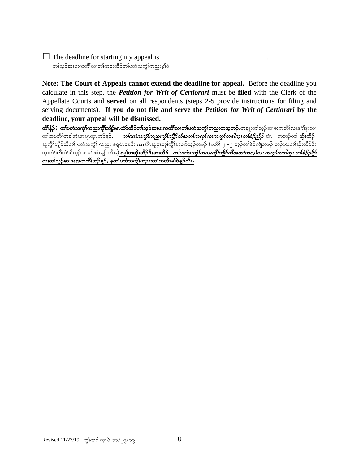$\Box$  The deadline for starting my appeal is  $\Box$ တၢ်သူဉ်ဆၢဖးကတိၢ်လ၊တၢ်ကစးထိဉ်တၢ်ပတံသက္ဂၢ်ကညးမှါဝဲ

**Note: The Court of Appeals cannot extend the deadline for appeal.** Before the deadline you calculate in this step, the *Petition for Writ of Certiorari* must be **filed** with the Clerk of the Appellate Courts and **served** on all respondents (steps 2-5 provide instructions for filing and serving documents). **If you do not file and serve the** *Petition for Writ of Certiorari* **by the deadline, your appeal will be dismissed.** 

**တိ၊နိဉ်း တ၊်ပတံသကွံၤ်ကညးကွိၤ်ဘျိဉ်မၤယံာ်ထိဉ်တၤ်သူဉ်ဆၤဖးကတိၤ်လၢတၤ်ဟေံသကွံၤ်ကညးတသူဘဉ်…ာချူးတၤ်သုဉ်ဆၤဖးကတိၤ်လၤနင်္ဂႏ** တါအပတိါတခါအံၤအပူၤတုၤဘဉ်နဉ်, *တၤ်ပတံသက္ခံၤ်ကညးကွိၤ်ဘျိဉ်ထိအတၤ်ကလုၤ်လၤကကွၤ်ကင်္ဂျောတၤ်စံဉ်ညီဉ်* အံၤ ကဘဉ်တါ **ဆိုးထိ**ဉ် ဆူကွိၢ်ဘျိဉ်ထိတၢ် ပတံသကွံၢ် ကညး စရပဲၤဒၢးဒိီး **ဆှ၊**အီၤဆူပှၤတူ၊်ကွိ<sup>ရ</sup>ခဲလၢာ်သ္ဉ်တဖဉ် (ပတိၢ် ၂ −၅ ဟ့ဉ်တၢ်နဲဉ်ကျဲတဖဉ် ဘဉ်ယးတၢ်ဆိုးထိဉ်ဒီး ဆု၊လံာ်တိလံာမိသ့ဉ် တဖဉ်အံၤန္ဉာ လိၤ.) **နမ္၊်တဆိုးထိဉ်ဒီးဆု၊ထိဉ်** *တ်ပတံသကွံ၊်ကညးကွိ၊်ဘျိဉ်ထိအတ၊်ကလု၊်လ၊ ကကွ၊်ကဒါက္၊ တ၊်စံဉ်ညီဉ်* လ၊တၢ်သူဉ်ဆ၊ဖးအကတိိၢ်ဘဉ်နူဉ်, နတၢ်ပတံသက္ဂၢ်ကညးတ၊်ကလီၤမၢ်ဝဲနူဉ်လီၤ.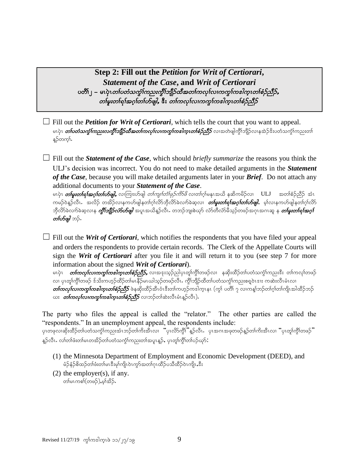**Step 2: Fill out the** *Petition for Writ of Certiorari***,**  *Statement of the Case***, and** *Writ of Certiorari* ပတိၤြ – မၤပုံၤ*တၤ်ပတံသက္ဂၤ်ကညးကွီၤ်ဘျိဉ်ထီအတၤ်ကလုၤ်လာကွာၤ်ကဒါက္ၤတၤ်စံဉ်ညီဉ်,* တစြမ်းတစ်ရာအဂ္ဂါတပ်တိဖျါ, ဒီး တစ်ကလုပ်လ၊ကကွာ်ကဒါကူးတစ်စဉ်ညီဉ်

 $\Box$  Fill out the *Petition for Writ of Certiorari*, which tells the court that you want to appeal. မၤပုဲၤ *တၢ်ပတံသက္ခံໂကညးလက္ခ်ိဳးဘျိုဉ်ထီအတၤ်ကလုၤ်လၤကကွၤ်ကအါက္*ၤ*တၢ်စံဉ်ညီဉ်* လၢအတဲဖျါကွိၤ်ဘျိဉ်လၤနအဲဉ်ဒိးပတံသကွဲၤ်ကညးတၤ် န္5ိတက္§.

 $\Box$  Fill out the *Statement of the Case*, which should *briefly summarize* the reasons you think the ULJ's decision was incorrect. You do not need to make detailed arguments in the *Statement of the Case*, because you will make detailed arguments later in your *Brief*. Do not attach any additional documents to your *Statement of the Case*.

မၤပုံၤ *တ်မူးတရ်ရ်အဂ္ဂါတပ်ာဖျါ,* လျကြုးဟ်ဖျါ *တါကျု၊်တံ၊ဖုဉ်ကိ9်ဖိ* လ၊တါဂု၊်မနုၤအယိ နဆိကမိဉ်လ၊ ULJ အတၢ်စံဉ်ညီဉ် အံၤ ကမဉ်ဝဲန္ဥာလီၤ အလိဉ် တအိဉ်လၢနကဟ်ဖျါနတၢ်ဂ္ဂါလိာဘိုလိာ်ခဲလၢာခဲဆူလ၊ *တၢဴမူးတၢဴရၢ်အဂ္ဂါတၤ်ဟိဖျါ***,** မ့္ပ်လၢနကဟ်ဖျါနတၢ်ဂ္ဂါလိာ ဘိုလိ>်ခဲလက်ခဲဆူလၢနု *ကွိ1်ဘျိုဉ်လံ>်ပာဖျါ* အပူၤအယိန္ဥာလီၤႉ တဘဉ်ဘျးစဲယုာ် လံာ်တီလံာ်မိသူဉ်တဖဉ်အဂုၤအဂၤဆူ နု *တြမူးတၢ်ရၢ်အဂ္*၊် တ*ဂ်ဟ်ဖျါ* ဘဉ်.

 $\Box$  Fill out the *Writ of Certiorari*, which notifies the respondents that you have filed your appeal and orders the respondents to provide certain records. The Clerk of the Appellate Courts will sign the *Writ of Certiorari* after you file it and will return it to you (see step 7 for more information about the signed *Writ of Certiorari*).

မၤပှဲၤ *တ်ကလု<sup>့</sup>လၢကကွ<sup>ု်</sup>ကပါက္၊တစ်ခ်ဉ်ညီှာ်,* လၢအၖုးသုဉ်ညါပှၤတူါကွိၢ်တဖဉ်လၢ နဆိုးထိဉ်တၢ်ပတံသကွံ<sup>ရ</sup>ကညးဒီး တၢ်ကလု၊်တဖဉ် www.ptomumpsitionship?with?particle.com with the production of the product of the production of the production  $\emph{on}$ က္မွားကားတဲ့ကြွေးတြက်သည် ဖြန်ဆိုးထိဉ်အီးဝံးဒီးတကြဟ္ဥကဒါကူးနၤ (ကွါ ပတိ) ၇ လ၊ကန္)ဘဉ်တဂ္)တကြိုးအါထိဉ်ဘဉ် ယး *တၢ်ကလုၤ်လာကွာကြအါက္* $1$ တၢ်စ*ံဉ်ညီှ*၁် လၢဘဉ်တၢ်ဆဲးလီၤမံၤန္ဉာ်လီၤ).

The party who files the appeal is called the "relator." The other parties are called the "respondents." In an unemployment appeal, the respondents include:

yၤတဖုလၢဆိုးထိဉ်တၤ်ပတံသကွဲၤ်ကညးအံၤဘဉ်တၤ်ကိးအီၤလၢ "ပုၤလိ>်ကွိ<sup>1</sup>"န္ဉ်လီၤ*.* ပုၤအဂၤအဖုတဖဉ်န္ဉ်တၤ်ကိုးအီၤလၢ "ပုၤတူၤ်ကွိၤ်တဖဉ်" န္ဉ်လီၤႉ လၢ်တၢ်ဖီးတ၊်မၤတအိဉ်တၢ်ပတံသက္ငၢ်ကညးတၢ်အပူၤန္ဉဉ်ႇ ပုၤတူ၊်က္ဂိၤတ၊်ပဉ်ယုဉ် $\colon$ 

- (1) the Minnesota Department of Employment and Economic Development (DEED), and မံဉ်နံဉ်စိထဉ်တ၊်ဖံးတ၊်မၤဒီးမှ၊်ကျိၤဝဲၤကွာ်အတ၊်ဂုၤထိဉ်ပသီထိဉ်ဝဲၤကျိၤႇဒီး
- (2) the employer(s), if any. တါမၤကစါ(တဖဉ်),မူးအိဉ်.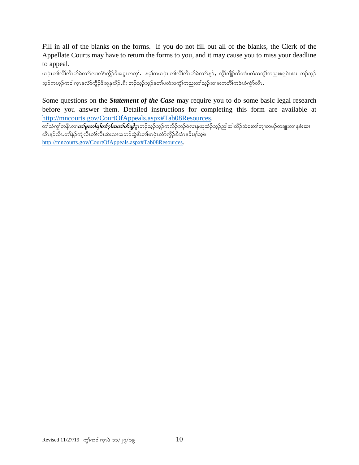Fill in all of the blanks on the forms. If you do not fill out all of the blanks, the Clerk of the Appellate Courts may have to return the forms to you, and it may cause you to miss your deadline to appeal.

မၤပုံၤတၢ်လိၤလိပ်ထိခဲလက်လ၊လံာ်ကွိဉ်ဒိအပူၤတက္၊်. နမ့္ပ်တမၤပုံၤ တၢ်လိၤ်လီၤဟိခဲလက်န္ဉ်ႇ ကွိၤ်ဘျိဉ်ထိတၤ်ပတံသက္ဂါကညးစရူဝဲၤဒၢး ဘဉ်သူဉ် သူဉ်ကဟုဉ်ကဒါကူၤနလံာ်ကွိဉ်ဒိဆူနအိဉ်ႇဒီး ဘဉ်သူဉ်သူဉ်နတၤ်ပတံသက္ဂၤ်ကညးတၢ်သူဉ်ဆၢဖးကတိၤ်ကစဲၤခံကွဲာ်လီၤ

Some questions on the *Statement of the Case* may require you to do some basic legal research before you answer them. Detailed instructions for completing this form are available at http://mncourts.gov/CourtOfAppeals.aspx#Tab08Resources.

w>oHuG>weDRvXw>rl;w>&>w>\*h>tw>ymzsgylRb.oh.oh.uvd.b.0JvXeCkxH.o h.ngtgxD.oJp;w>bsXwz.wcsK;vXepH;qX အီၤန္ဉာလီၤ.တါနဲဉ်ကျဲလီၤတီးလီၤထဲးလၢအဘဉ်ထွဲဒီးတါမၤပုံၤလ်ာ်ကွိဉ်ဒိအံၤနဒိးန္၊သစ် http://mncourts.gov/CourtOfAppeals.aspx#Tab08Resources.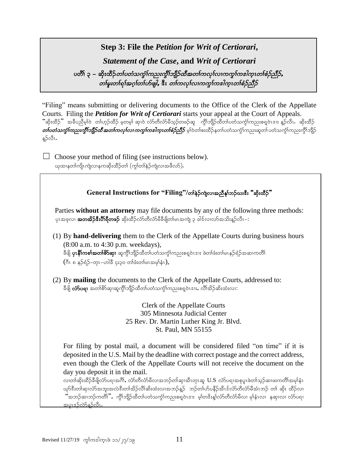# **Step 3: File the** *Petition for Writ of Certiorari***,**

*Statement of the Case***, and** *Writ of Certiorari*

#### ပတိ်၊ ၃ – ဆိုးထိဉ်*တၤ်ပတံသကွံၤ်ကညးကွိၤ်ဘျိဉ်ထိအတၤ်ကလုၤ်လာကွာ်ကဒါကူၤတၤ်စံဉ်ညီဉ်,* တစြမှးတစရာ်အဂ္ဂါတပ်တျေါ, ဒီး တကလုာ်လ၊ကကွာ်ကဒါက္၀တစ်ခုံညီဉ်

"Filing" means submitting or delivering documents to the Office of the Clerk of the Appellate Courts. Filing the *Petition for Writ of Certiorari* starts your appeal at the Court of Appeals. "ဆိုးထိဉ်" အခ်ိပညီမ့္ပါဝဲ တ္က်ဟ္ဥ်ထိဥ် မူတမ္န္က ဆု၊ဝဲ လံာတိလံာမိသူဥတဖဥ်ဆူ ကွိၢ်ဘျိုာထိတ္က်ပတံသက္ခံကြည္မႈစရူဝဲၤဒၢႏန္ဥလီၤ. ဆိုးထိဉ်  $o$ က်ပတံသကွံ $\iota$ ကညားကွိ $\iota$ ဘျိုာထိ အတ $\iota$ ကလု $\iota$ လ၊ ကကွ $\iota$ ကစ $\iota$ တ်တစ်နှိည် $\beta$  မှ $\iota$ ဝတ်စ $\iota$ ဇည်နတ်၊ $\iota$ တညားထွံ $\iota$ ကညားကွိ $\iota$ ဘျိ $\iota$ န္5လီၤ.

 $\Box$  Choose your method of filing (see instructions below). ယုထၢနတၢ်ကျိုးကျဲလၢနကဆိုးထိဉ်တၢ် (ကွၢ်တၢ်နဉ်ကျဲလၢအဖိလာ်).

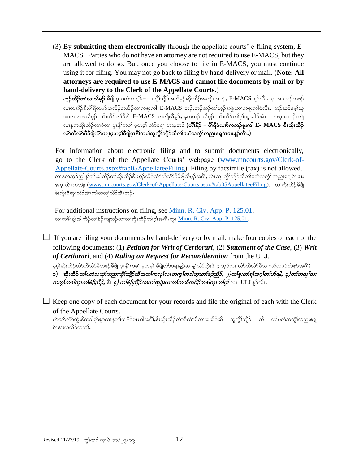(3) By **submitting them electronically** through the appellate courts' e-filing system, E-MACS. Parties who do not have an attorney are not required to use E-MACS, but they are allowed to do so. But, once you choose to file in E-MACS, you must continue using it for filing. You may not go back to filing by hand-delivery or mail. (**Note: All attorneys are required to use E-MACS and cannot file documents by mail or by hand-delivery to the Clerk of the Appellate Courts.**)

 $\mathbf{v}_i$ ဉ်ထိဉ်တၢ်လ၊လီမှဉ် ခီဖို ပှၤပတံသကွံ $\mathsf{X}_i$ ကညးကွိ $\mathsf{X}_i$ ဘိုဘိုးတိဉ်အကျိၤအကျဲ,  $\mathrm{E}\text{-MACS}$  နှဉ်လီၤ. ပှၤအဖုသ့ဉ်တဖဉ် လ၊တအိဉ်ဒီးပိါရီတဖဉ်အလိဉ်တအိဉ်လ၊ကစူးကါ E-MACS ဘဉ်ႇဘဉ်ဆဉ်တါဟ့ဉ်အခွဲးလ၊ကစူးကါဝဲလီၤ .ဘဉ်ဆဉ်နမ္ါယု ထ၊လ၊နကလိမ့ဉ်–ဆိုးထိဉ်တၢ်ခီဖျိ E-MACS တဘျိယီန္ဉာ်, နကဘဉ် လိမ့ဉ်–ဆိုးထိဉ်တၢ်ဂ့ၢ်ဆူညါဒ်အံၤ – နယုထ၊ကျိၤကျဲ လၢနကဆိုးထိဉ်လၢခံလ၊ ပုၤနိၢ်ကစါ မ့တမ့ါ လံာ်ပရ၊ တသ့ဘဉ် **(တိ၊နိဉ် – ပိ၊်ရိခဲလၢာ်ကဘဉ်စူးကါ E- MACS အီးဆိုးထိဉ်** လ်ာ်တီလ်ာမီခီဖျိလံာ်ပရၢမှတမှ၊်ခီဖျိပုၤနိ၊်ကစါဆူကွိၢ်ဘျိဉ်ထိတ၊်ပတံသက္ငံ၊်ကညးစရူဝဲၤဒၢးနူဉ်လီၤ.)

For information about electronic filing and to submit documents electronically, go to the Clerk of the Appellate Courts' webpage [\(www.mncourts.gov/Clerk-of-](http://www.mncourts.gov/Clerk-of-Appellate-Courts.aspx#tab05AppellateeFiling)[Appellate-Courts.aspx#tab05AppellateeFiling\)](http://www.mncourts.gov/Clerk-of-Appellate-Courts.aspx#tab05AppellateeFiling). Filing by facsimile (fax) is not allowed. လၢနကသူဉ်ညါန1်ပၢါအါထိဉ်တ1်ဆိုးထိဉ်ဒီးဟုဉ်ထိဉ်လံာတိလံာ်မီခီဖိျလိမ့ဉ်အင်္ဂါ, လဲၤဆူ ကွိ1်ဘျိဉ်ထိတ1်ပတံသကွN် ကညးစရူ ဝဲၤ ဒၢႏ အပုၤယဲၤကဘျုံး (<u>www.mncourts.gov/Clerk-of-Appellate-Courts.aspx#tab05AppellateeFilin</u>g). တ၊်ဆိုးထိဉ်ခ်ီဖြို စ်းကွဲးဒိဆု၊လံာ်အံၤတၢ်တတူ၊လိာ်အီၤဘဉ်.

For additional instructions on filing, see [Minn. R. Civ. App. P. 125.01.](https://www.revisor.mn.gov/court_rules/ap/subtype/rcap/id/125/) လ၊ကဒိးန္1်အါထိဉ်တၢ်နဲ့ဉ်ကျဲဘဉ်ယးတ၊်ဆိုးထိဉ်တၢ်ဂုၤ်အဂိၢ်ႇကွ1် <u>Minn. R. Civ. App. P. 125.01</u>.

 $\Box$  If you are filing your documents by hand-delivery or by mail, make four copies of each of the following documents: (1) *Petition for Writ of Certiorari*, (2) *Statement of the Case*, (3) *Writ of Certiorari*, and (4) *Ruling on Request for Reconsideration* from the ULJ.

နမ့္က်ဆိုးထိဉ်လံာတီလံာမိတဖဉ်ခီဖျိ ပုၤနိုၤ်ကစ္ပါ မူတမူ့၊ ခီဖျိလံာပရၢန္ဥာ်,မၤန္၊်လံာကွဲးဒိ ၄ ဘူဉ်လ၊ လံာတီလံာမိလ၊လာတဖဉ်စှာစွာအဂိၤ်

၁) သိုးထိဉ်*တၤ်ပတံသကွဲၤ်ကညးကွိၤ်ဘျိဉ်ထိ အတၤ်ကလုၤ်လ၊ ကကွၤ်ကဒါက္ၤတၤ်စံဉ်ညိဉ်, ၂)တၤ်မူးတၤ်ရၤ်အဂ္໋၊တၤ်ဟ်ဖျါ, ၃)တၤ်ကလုၤ်လ၊* ကကွfကအါကူးတစ်စဉ်သို့5, ဒီး ၄) တစ်စဉ်သို့ဉ်လ၊တစ်ယူခွဲးလ၊တ၊်ကဆိကမိဉ်ကအါကူးတဂူာ် လ၊ ULJ နူဉ်လီး.

 $\Box$  Keep one copy of each document for your records and file the original of each with the Clerk of the Appellate Courts.

ဟ်ယာ်လာ်ကွဲးဒိတခါစုာ်စုာ်လၢနတါမၤနိဉ်မၤယါအင်္ဂါႇဒီးဆိုးထိဉ်လာပိလာံမိလၢအအိဉ်ဆိ ဆူကွိၢ်ဘျိဉ် ထိ တါပတံသက္ဂါကညးစရ္ခ ၀ဲၤဒၢႏၶာအိ့ဉ်တက္န}်

֘֒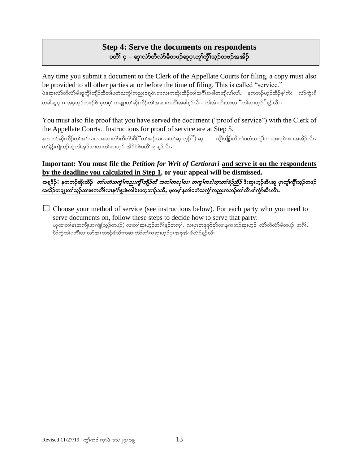# **Step 4: Serve the documents on respondents** ပတိၢ် ၄ – ဆု၊လံာ်တီလံာ်မီတဖဉ်ဆူပု၊တူ၊်ကို၊်သွဉ်တဖဉ်အအိဉ်

Any time you submit a document to the Clerk of the Appellate Courts for filing, a copy must also be provided to all other parties at or before the time of filing. This is called "service." ဖဲနဆု၊လံာ်တိလံာမိဆူကွိၢ်ဘျိဉ်ထိတ၊်ပတံသကွဲ၊်ကညးစရပဲၤဒၢးလ၊ကဆိုးထိဉ်တ၊်အင်္ဂါအခါတဘျိလ၊်လ၊်, နကဘဉ်ဟုဉ်ထိဉ်စ့၊်ကီး လံာ်ကွဲးဒိ တခါဆူပုၤဂၤအဖုသ့ဉ်တဖဉ်ဖဲ မှတမ့)် တချုးတ၊်ဆိုးထိဉ်တ၊်အဆၢကတိၢ်အခါနူဉ်လီၤ. တ၊်အံၤကိးသးလၢ "တ၊်ဆု၊ဟုဉ် "နူဉ်လီၤ.

You must also file proof that you have served the document ("proof of service") with the Clerk of the Appellate Courts. Instructions for proof of service are at Step 5.

နကဘဉ်ဆိုးထိဉ်တၢ်အှဉ်သးလၢနဆု၊လံာ်တီလံာမိ("တ၊်အှဉ်သးလ၊တ၊်ဆု၊ဟ္ဉ်") ဆူ ကွိၢ်ဘျိဉ်ထိတ၊်ပတံသကွဲ၊်ကညးစရူဝဲၤဒၢးအအိဉ်လိၤ တန်ဉ်ကျဲဘဉ်ထွဲတ၊်အုဉ်သးလ၊တ၊်ဆု၊ဟ္၄် အိဉ်ဝဲဖဲပတိ၊် ၅ နဉ်လီၤ

**Important: You must file the** *Petition for Writ of Certiorari* **and serve it on the respondents by the deadline you calculated in Step 1, or your appeal will be dismissed.** အရှုဒိ**ဉ်:** နကဘဉ်ဆိုးထိဉ် *တၤ်ပတံသကွံၤ်ကညးကွိၤ်ဘျိဉ်ထိ အတၤ်ကလုၤ်လ၊ ကကွၤ်ကဒါက္ၤတၢ်စံဉ်သိဉ်* ဒီးဆု၊ဟူဉ်အီၤဆူ ပုၤတု၊်ကွိၤ်သုဉ်တဖဉ် အအိဉ်တချူးတၢ်သူဉ်ဆ၊ဖးကတိိၤ်လ၊နင်္ဂါဒွးဖဲလါစဲးပတ္စ္ကာ၊ဉ်၁သိ, မှတမူ၊်နတၤ်ပတံသက္ငံ၊်ကညးကဘဉ်တ၊်လီၤမ၊်ကွာ်အီၤလီၤ.

 $\Box$  Choose your method of service (see instructions below). For each party who you need to serve documents on, follow these steps to decide how to serve that party: ယုထ၊တါမၤအကျိၤအကျဲ(သ့ဉ်တဖဉ်) လ၊တါဆု၊ဟ့ဉ်အဂိါန့ဉ်တက့ါ. လ၊ပုၤတဖုစုာ်စုာ်လ၊နကဘဉ်ဆု၊ဟ့ဉ် လံာ်တီလံာ်မီတဖဉ် အဂိါ, ိ9်ထွဲတၤ်ပတိၤ်လၤလာ်အံၤတဖဉ်ဒ်သိးကဆ၊တဲာ်တၤ်ကဆု၊ဟူဉ်ပုၤအဖုအံၤဒ်လဲဉ်နူဉ်လီၤ $\colon$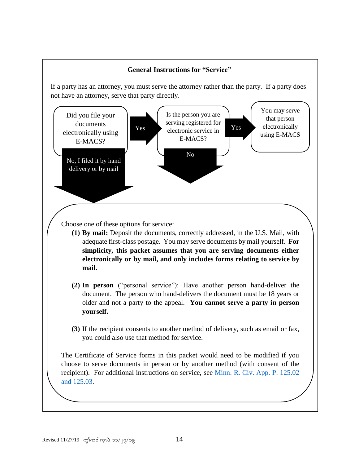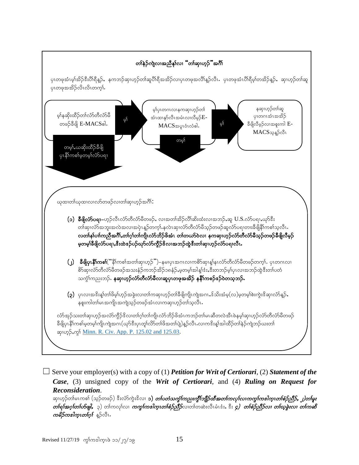

☐ Serve your employer(s) with a copy of (1) *Petition for Writ of Certiorari*, (2) *Statement of the Case*, (3) unsigned copy of the *Writ of Certiorari*, and (4) *Ruling on Request for Reconsideration*.

ဆု၊ဟ္ဥ်တၢ်မၤကစၢ် (သူဥ်တဖဉ်) ဒီးလံာ်ကွဲးဒိလ၊ **၁)** *တၤ်ပတံသက္ခၤ်ကညးကွိၤ်ဘျိဉ်ထီအတၤ်ကလုၤ်လကုက္ကကအကြားတၢ်စံဉ်ညီဉ်, ၂)တၤ်မူး*  $\hat{\bm{c}}$ တ်ရှ*်အဂ္ဂါတ်ကြိုး* ၃) တါကလုါလ၊ *ကက္က်ကအါကူးတစ်စံဉ်ညီဉ်*လ၊တါတဆဲးလီးမီးဒီး, ဒီး *၄) တစ်စဉ်ညီဉ်လ၊ တၽွ်ခွဲးလ၊ တါကဆိ ကမိဉ်ကဒါက္*ၤတf၇ှ<sup>န</sup> န္</sup>ဉ်လီၤ.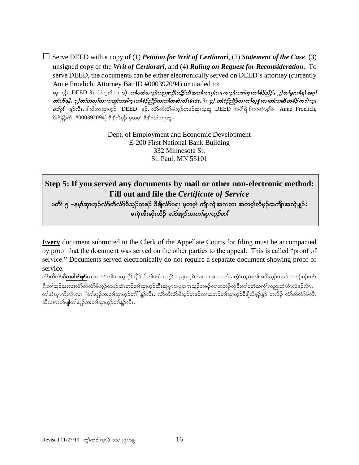☐ Serve DEED with a copy of (1) *Petition for Writ of Certiorari*, (2) *Statement of the Case*, (3) unsigned copy of the *Writ of Certiorari*, and (4) *Ruling on Request for Reconsideration*. To serve DEED, the documents can be either electronically served on DEED's attorney (currently Anne Froelich, Attorney Bar ID #000392094) or mailed to:

ဆု၊ဟူဉ် DEED ဒီးလံာ်ကွဲးဒိလ၊ **၁)** *တၤ်ပတံသက္ခါကညးကွိၤ်ဘျိဉ်ထိ အတၤ်ကလုၤ်လ၊ ကကွၤ်ကဒါကူၤတၢ်စံဉ်ညီဉ်, ၂)တၤ်မူးတၤ်ရၤ်အဂူး* တၢဴဟ်ဖျါ, ၃)တၢ်ကလုၤ်လ၊ ကကွၤ်ကဒါက္ၤတၢ်စံဉ်သီဉ်လ၊တၢ်တဆဲးလီၤမံၤဒံး, ီး ၄) တၢ်စံဉ်သီဉ်လ၊တၤ်ယုခွဲးလ၊တၢ်ကဆိ ကမိဉ်ကဒါက္  $\mathit{of}_\Omega$ ် နူဉ်လီၤ. ဒ်သိးကဆု၊ဟုဉ်  $\rm{DEED}$  နူဉ်, လံာ်တီလံာမိသုဉ်တဖဉ်ဆု၊သူဆူ  $\rm{DEED}$  အပိါရီ (အခဲအံၤမ့ါဝဲ Anne Froelich,  $8S\$ နီဉ်ဂံ $1#000392094)$  ခီဖိုလီမ့ဉ် မ့တမ့်၊ ခီဖိုလံာ်ပရာဆူ–

> Dept. of Employment and Economic Development E-200 First National Bank Building 332 Minnesota St. St. Paul, MN 55101

# **Step 5: If you served any documents by mail or other non-electronic method: Fill out and file the** *Certificate of Service*

y<br>ပတိၢ် ၅ –နမ့ါဆှ၊ဟ့ဉ်လံာ်တီလံာ်မီသ့ဉ်တဖဉ် ခီဖျိလံာ်ပရ၊ မ့တမ့၊် ကျိ၊ကျဲအဂၤလ၊ အတမ့၊်လီမ့ဉ်အကျိ၊အကျဲန့ဉ်**:** မၤပဲ၊ အီးဆီးထီဉ် $\sim$ တ်အဉ်သးတ $\sim$ စာတာ

**Every** document submitted to the Clerk of the Appellate Courts for filing must be accompanied by proof that the document was served on the other parties to the appeal. This is called "proof of service." Documents served electronically do not require a separate document showing proof of service.

လံာ်တိလံာမိ**တခါစှာ်စှာ်**လၢအဘဉ်တါဆု၊ဆူကွိါဘျိဉ်ထိတါပတံသက္ခံโကညးစရူဝဲၤဒးးလ၊အကပတံသက္ခံโကညးတါအဂိါသူဉ်တဖဉ်ကဘဉ်ပဉ်ယှာ် ဒီးတါအုဉ်သးလၢလံာတိလံာမိသူဉ်တဖဉ်အံၤဘဉ်တါဆု၊ဟုဉ်အီၤဆူပုၤအဖုအဂၤသူဉ်တဖဉ်လၢအဘဉ်ထွဲဒီးတ၊်ပတံသကွံၢ်ကညးအံၤဝံၤလံနူဉ်လီၤ တါအံၤပုၤကိးအီၤလ၊ "တါအုဉ်သးတါဆု၊ဟုဉ်တ၊ိ"နဉ်လီၤ. လံာတီလံာ်မိသုဉ်တဖဉ်လ၊အဘဉ်တါဆု၊ဟုဉ်ခီဖိျလိမ့ဉ်နဉ် တလိဉ် လံာ်တီလံာမိလိၤ ဆီလၢကဟ်ဖျါတၢ်အုဉ်သးတၢ်ဆု၊ဟုဉ်တၢ်နဉ်လီၤ.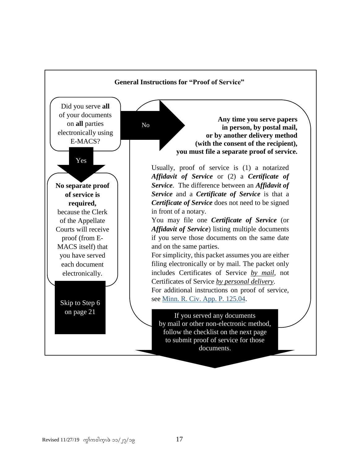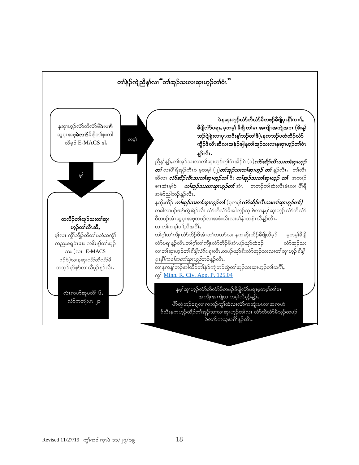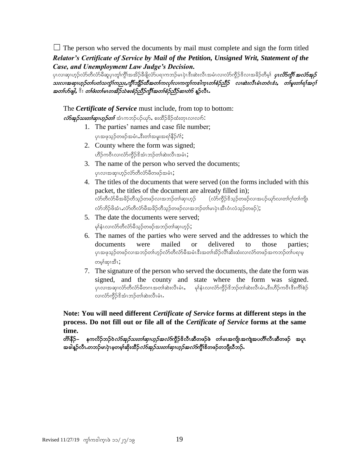$\Box$  The person who served the documents by mail must complete and sign the form titled *Relator's Certificate of Service by Mail of the Petition, Unsigned Writ, Statement of the Case, and Unemployment Law Judge's Decision.*

ပုၤလၢဆု၊ဟ္၁်လံာတိလံာမိဆူပုၤတူ၊်က္ဂိၤ်အအိဉ်ခ်ီဖိုုလံာ်ပရၢကဘဉ်မၤပုံၤဒီးဆဲးလီၤအမံၤလၢလံာ်ကွိဉ်ဒိလၢအခိဉ်တိမ့္ပ် *ပုၤ<i>လိာက္ဂိၤ် အလံာ်အုဉ်* သးလ၊အဆု၊ဟူဉ်တၢ်ပတံသက္ခၢ်ကညးႇကွိၤ်ဘျိဉ်ထီအတၢ်ကလုၤ်လ၊ကကွၤ်ကဒါက္ၤတၢ်စံဉ်သိဉ် လ၊ဆဲးလီၤမံၤတဝံၤဒံး, တ၊်မူးတ၊်ရ၊်အဂ္ဂါ အတၤ်ဟ်ဖျါ, ီး တၤ်ဖဴးတၤ်မၤတအိဉ်သဲစးစဉ်ညီဉ်ကွီၤ်အတၤ်စဉ်ညီဉ်ဆ၊တဲာ် နူဉ်လီၤ.

The *Certificate of Service* must include, from top to bottom:  $\vec{v}$ တ်အု $\beta$ သးတ $\vec{v}$ ဆု၊ဟူ $\beta$ တ $\vec{b}$  အံၤကဘဉ်ပဉ်ယု $\hat{b}$ , စးထိဉ်ခိဉ်ထံးတုၤလၢလ $\hat{b}$ :

- 1. The parties' names and case file number; ပုၤအဖုသ္ဉ်တဖဉ်အမံၤႇဒီးတၢ်အမူးအရာနီဉ်ငံ္
- 2. County where the form was signed; ဟိဉ်ကဝီၤလၢလံာ်ကွိဉ်ဒိအံၤဘဉ်တၢ်ဆဲးလီၤအမံၤ;
- 3. The name of the person who served the documents; ပုၤလၢအဆု၊ဟ္၄်လံာ်တီလံာ်မီတဖဉ်အမံၤ;
- 4. The titles of the documents that were served (on the forms included with this packet, the titles of the document are already filled in); လ်ာတိလ်ာမီအခိဉ်တီသူဉ်တဖဉ်လၢအဘဉ်တၢ်ဆု၊ဟူဉ် (လံာ်ကွိဉ်ဒိသ့ဉ်တဖဉ်လ၊အပဉ်ယှာ်လ၊တ၊်ဂ္ဂါတ၊်ကျို၊  $\Delta$ လ်ာဘိဉ်ဖိအံၤ $\Delta$ လ်ာတီလ်ာမီအခိဉ်တီသွဉ်တဖဉ်လ $\infty$ အဘဉ်တ $\infty$ ါအားကို ပင်္ဘည်တဖဉ် $\Delta$
- 5. The date the documents were served; မှါနံၤလၢလံာ်တီလံာ်မိသွဉ်တဖဉ်အဘဉ်တါဆု၊ဟုဉ်;
- 6. The names of the parties who were served and the addresses to which the documents were mailed or delivered to those parties; ပုၤအဖုသ္ဥ်တဖဥ်လၤအဘဉ်တၤ်ဟွဉ်လံာ်တီလံာ်မီအမံၤဒီးအတၤ်အိဉ်လိၤ်ဆီးထံးလၤလံာ်တဖဉ်အကဘဉ်တၤ်ပရၢမ္ တမ့ါဆု၊အီၤ;
- 7. The signature of the person who served the documents, the date the form was signed, and the county and state where the form was signed. ပုၤလ၊အဆု၊လံာ်တီလံာ်မိတဂၤအတၢ်ဆဲးလီၤမံၤ, မှါနံၤလ၊လံာ်ကွိဉ်ဒိဘဉ်တ၊်ဆဲးလီၤမံၤႇဒီးဟိဉ်ကဝီၤဒီးကိၢိစဉ် လ၊လံာ်ကွိဉ်ဒိအံၤဘဉ်တါဆဲးလီၤမံၤ.

**Note: You will need different** *Certificate of Service* **forms at different steps in the process. Do not fill out or file all of the** *Certificate of Service* **forms at the same time.**

တိ\်နီဉ်– နကလိဉ်ဘဉ်ဝဲ*လံာ်အှဉ်သးတၤ်ဆုၤဟုဉ်အလံာ်*ကွိဉ်<sup>ဥ</sup>လီၤဆီတဖဉ်ဖဲ တၤ်မၤအကျိၤအကျဲအပတိၤ်လီၤဆီတဖဉ် အပူၤ အခါန္ဉ်လီၤ.တဘဉ်မၤပုဲၤမ္မတမ့္ပ်ဆိုးထိဉ်*လံာ်အုဉ်သးတ<sup>ု</sup>ဆု၊ဟုဉ်အလံာ်*ကွိ<sup>ုင္မိ</sup>တဖဉ်တဘျီဃီဘဉ်**.**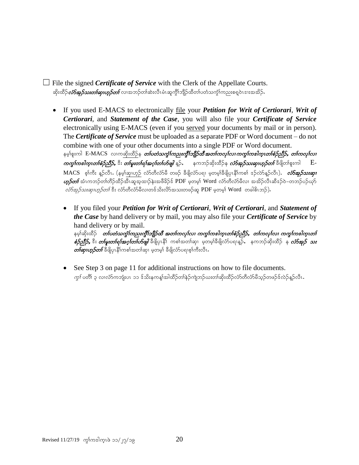$\Box$  File the signed *Certificate of Service* with the Clerk of the Appellate Courts. ဆိုးထိဉ်*လ်ာအှဉ်သးတ<sup>ြ</sup>ဆု၊ဟှဉ်တြလ*၊အဘဉ်တါဆဲးလီၤမံၤဆူကွိၢ်ဘျိဉ်ထိတၢ်ပတံသက္ဂံ၊်ကညးစရူဝဲၤဒၢးအအိဉ်**.** 

- If you used E-MACS to electronically file your *Petition for Writ of Certiorari*, *Writ of Certiorari*, and *Statement of the Case*, you will also file your *Certificate of Service* electronically using E-MACS (even if you served your documents by mail or in person). The *Certificate of Service* must be uploaded as a separate PDF or Word document – do not combine with one of your other documents into a single PDF or Word document. နမ့္ပ်စူးကါ E-MACS လၢကဆိုးထိဉ်န *တ်ပတံသက္ခံ၊်ကညးကွိၤ်ဘျိဉ်ထိအတၤ်ကလုၤ်လ၊ကကွၤ်ကအါကူးတၢ်စံဉ်ညီဉ်, တၢ်ကလုၤ်လ၊*  $\alpha$ တွ $\delta$ ကပေါက္စ္ပ္အဟစ်စ္နာတို႔ မွား တစ္ပြားတစ်ရာ အားလ်ားကို ရွိခဲ့နဲ႔ အသည္ ဆုံးထိခ်ိန္ ကားအားသားတုတ္ေတာ် ချိ MACS စု၊်ကီး နူဉ်လီၤ. (နမ့္ပ်ဆု၊ဟူဉ် လံာ်တီလံာ်မီ တဖဉ် ခီဖျိလံာပရ၊ မှတမ္နါခီဖျိပု၊နို၊်ကစ၊် ဒဉ်လာ်နူဉ်လီၤ). *လံာ်အုဉ်သးဆု၊*  $\omega$ ှာ်တ $f$ အံၤကဘဉ်တၢ်တိဉ်ထိဉ်အီၤဆူအ့ထၢဉ်နဲးအဖိခိဉ်န် PDF မှတမ့ $\mathsf I$  Word လံာ်တိလံာ်မိလ၊ အအိဉ်လီၤဆီနဉ်ဝဲ–တဘဉ်ပဉ်ယှာ်  $\omega$ ်အု $\beta$ သးဆု၊ဟု $\beta$ တ $\delta$  ဒီး လံာတီလံာမီလ၊တဒ်သိးလိာ်အသးတဖဉ်ဆူ  ${\rm PDF}$  မှတမ္ ${\rm Word\,}$  တခါဓိၤဘဉ်).
	- If you filed your *Petition for Writ of Certiorari*, *Writ of Certiorari*, and *Statement of the Case* by hand delivery or by mail, you may also file your *Certificate of Service* by hand delivery or by mail.

နမ့္ပ်ဆိုးထိဉ် *တၤ်ပတံသက္ခံၤကသူးကွီးဘျီဉ်ထိ အတၤ်ကလုၤ်လ၊ ကကွၤ်ကဒါကူးတၤ်စံဉ်ညီဉ်, တၤ်ကလုၤ်လ၊ ကကွၤ်ကဒါကူးတၤ် စံဉ်ညီဉ်,* ဒီး *တၢ်မူးတၢ်ရၢ်အဂ္ဂါတၤ်ဟ်ဖျါ* ခီဖျိပုၤနိုၫ် ကစၢ်အတၢ်ဆု၊ မ့တမ္၊ခီဖျိလံာပရၢန္ဉာ်, နကဘဉ်ဆိုးထိဉ် န *လံာအုဉ် သး*  $\emph{on}$ ဆု၊ဟူ $\emph{for}$  ခြိဖြုပုၤနို၊်ကစါအတါဆု၊ မဲ့တမ္နါ ခြိဖျိလ်ာပရၢစ္ $\emph{for}$ းလီၤ $\emph{\cdot}$ 

• See Step 3 on page 11 for additional instructions on how to file documents.  $\eta$ ာ် ပတိ $\mathfrak f$  ၃ လၢလံာကဘျံးပၤာ၁ ဒ်သိးနကန့္ပ်အါထိဉ်တါနဉ်ကျဲဘဉ်ယးတါဆိုးထိဉ်လံာတီလံာမိသှဉ်တဖဉ်ဒ်လဲဉ်နှဉ်လီၤ $\mathfrak h$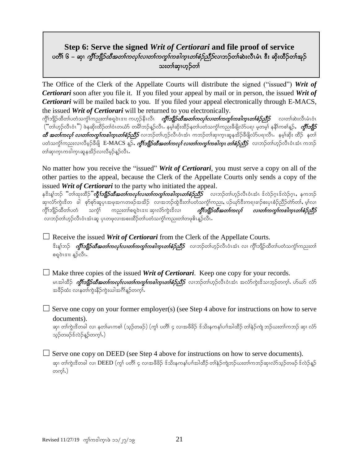### **Step 6: Serve the signed** *Writ of Certiorari* **and file proof of service** ပတိ်၊ ၆ – ဆု၊ *ကွီးဘျီဉ်ထီအတၤ်ကလုၤ်လၤတၤ်ကကွၤ်ကပါက္*ၤ*တၤ်စံဉ်ညီဉ်*လၤဘဉ်တၤ်ဆဲးလီၤမံၤ <sup>စွ</sup>ီး ဆိုးထိဉ်တၤ်အုဉ် သးတါဆု၊ဟုဉ်တါ

The Office of the Clerk of the Appellate Courts will distribute the signed ("issued") *Writ of Certiorari* soon after you file it. If you filed your appeal by mail or in person, the issued *Writ of Certiorari* will be mailed back to you. If you filed your appeal electronically through E-MACS, the issued *Writ of Certiorari* will be returned to you electronically.

ကွိၢ်ဘျိဉ်ထိတၢ်ပတံသက္ငံ၊်ကညးတၢ်စရူဝဲၤဒၢး ကဟ္ဥနိုၤလိၤ *ကွိါဘျိဉ်ထိအတၤ်ကလုၤ်လ၊တၤ်ကကွၤ်ကအါက္ၤတၢ်စံဉ်သိဉ် လ၊*တၢ်ဆဲးလိၤမံၤဝံၤ  $\Gamma(\tilde{a})$ ်တက်သည် တွေကြောက်ပါတယ်တွေကြသည် သမ္မာတိုင်း နမ်းဆုံးထွင်ခဲ့တုပ်တဲ့သယ်ပုပြည်းစွဲဖြတ်ပုပါ မှတမျှ နန်းကစ $\delta$ န်ာ $\gamma$  ${\it a}$ ိ အတၢ်ကလု၊် လ၊တ၊်ကကွ၊်ကအါကူးတ၊်စဉ်ညီဉ် လ၊ဘဉ်တ၊်ဟှဉ်လိၤဝံၤအံၤ ကဘဉ်တ၊်ဆု၊ကူၤဆူနအိဉ်ခီဖျိလ်ာပရၢလိၤ နမ္၊်ဆိုး ထိဉ် နတ၊် ပတံသက္ခါကညးလၢလိမ္ခခ်ိရွိ၊ E-MACS နူခ်, *ကွီးဘျိုခ်ထီအတ<sup>ု</sup>ကလု၊် လ၊တၤ်ကကွၤ်ကပါက္၊ တၢ်စံခ်ညီခ်ာ*လ၊ဘခ်တၢ်ဟူခ်လီၤဝံၤအံၤ ကဘခ် တါဆု၊ကူၤကဒါကူၤဆူနအိဉ်လ၊လီမှဉ်နူဉ်လီၤႉ

No matter how you receive the "issued" *Writ of Certiorari*, you must serve a copy on all of the other parties to the appeal, because the Clerk of the Appellate Courts only sends a copy of the issued *Writ of Certiorari* to the party who initiated the appeal.

နဒိးန္၊်ဘဉ် <sup>"း</sup>တ၊်ထုးထိဉ်"**ကို***၊်ဘျိဉ်ထီအတၤ်ကလုၤ်လ၊တၤ်ကကွၤ်ကဒါက္ၤတၢ်စံဉ်သိုဉ် လ၊ဘဉ်တ၊်ဟုဉ်လိၤဝံၤအံၤ ဒ်လဲဉ်ဂုၤဒ်လဲဉ်ဂုၤ*,နကဘဉ် ဆု၊လံာ်ကွဲးဒိတ ခါ စုာ်စုာ်ဆူပုၤအဖုအဂၤတဖဉ်အအိဉ် လၢအဘဉ်ထွဲဒီးတ၊်ပတံသက္ခံ)ကညး, ပဉ်ယှာ်ဒီးကရ၊ခၢဉ်စးပုၤစံဉ်ညီဉ်တာ်တ၊်, မ့၊်လ၊ ကွိၢ်ဘျိဉ်ထိတၤ်ပတံ သက္ဂံ၊ ကညးတၢ်စရူဝဲၤဒၢး ဆု၊လံာ်ကွဲးဒိလ၊ *ကွိြာျိဉ်ထိအတၤ်ကလု၊် လ၊တၤ်ကကွၤ်ကအါက္ၤတၢ်စံဉ်ညီဉ် -*လ၊ဘဉ်တ၊်ဟ္ဥ်ာလီၤဝံၤအံၤဆူ ပုၤတဖုလ၊အစးထိဉ်တ၊်ပတံသက္ငါ်ကညးတ၊်တဖုဓိၤန္ဥ်ာလီၤ

 $\Box$  Receive the issued *Writ of Certiorari* from the Clerk of the Appellate Courts. နိးနှုံဘဉ် *ကိုိးဘျိုဉ်ထီအတၤ်ကလုၤ်လၤတၤ်ကကွၤ်ကပါက္*ၤ*တၤ်စဉ်ညီဉ်* လ၊ဘဉ်တၤ်ဟုဉ်လီၤဝံၤအံၤ လ၊ ကိုၤ်ဘျိဉ်ထိတၤ်ပတံသကုၤ်ကညးတၤ် စရဝဲၤဒၢး န္ဉ်ာလီၤႉ

 $\Box$  Make three copies of the issued *Writ of Certiorari*. Keep one copy for your records. မၤအါထိဉ် *ကွိၤ်ဘျိဉ်ထိအတၤ်ကလုၤ်လၤတၤ်ကကွၤ်ကပါက္ၤတၤ်စံဉ်ညီဉ် လၤ*ဘဉ်တၤ်ဟွဉ်လိၤဝံၤအံၤ အလံာ်ကွဲးဒိသ၊ဘွဉ်တက္i်ာ ဟ်သာ် လံာ် အခိဉ်ထံး လၢနတၢ်ကွဲးနိဉ်ကွဲးယါအဂ်ိၢိန္ဉ်တက္န္မႈ.

 $\Box$  Serve one copy on your former employer(s) (see Step 4 above for instructions on how to serve documents).

ဆု၊ တၢ်ကွဲးဒိတခါ လ၊ နတၢ်မၤကစၢ် (သ္ဥတဖဉ်) (ကျွဴ ပတိ၊် ၄ လ၊အဖီခိဉ် ဒ်သိးနကန၊်ပၢၢ်အါထိဉ် တၢ်နဲ့ဉ်ကျဲ ဘဉ်ယးတ၊်ကဘဉ် ဆု၊ လံဉ် သုဉ်တဖဉ်ဒ်လဲဉ်နဉ်တက္}.)

 $\Box$  Serve one copy on DEED (see Step 4 above for instructions on how to serve documents). ဆု၊ တါကုံးဒိတခါ လ၊  $\rm DEED$  (ကု) ပတိ) ၄ လ၊အဖီခိဉ် ဒ်သိးနကန $\rm\acute{o}$ ပၢါအါထိဉ် တါနဉ်ကျဲဘဉ်ယးတါကဘဉ်ဆု၊လံာ်သုဉ်တဖဉ် ဒ်လဲဉ်နဉ် တက္န္).)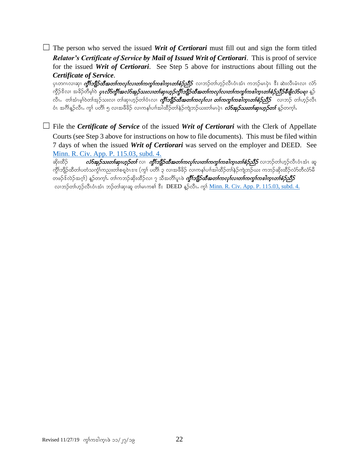$\Box$  The person who served the issued *Writ of Certiorari* must fill out and sign the form titled *Relator's Certificate of Service by Mail of Issued Writ of Certiorari*. This is proof of service for the issued *Writ of Certiorari*. See Step 5 above for instructions about filling out the *Certificate of Service*.

ပုၤတဂၤလၢဆု၊ *ကွိၤ်ဘျိဉ်ထီအတ<sup>ု</sup>ကလုၤ်လက်ကကွ<sup>ု်</sup>ကပြော့၊တစ်စဉ်သိဉ် လၢဘဉ်တါဟ္*ဉ်လီၤဝံၤအံၤ ကဘဉ်မၤပုဲၤ ဒီး ဆဲးလီၤမံၤလ၊ လ်ာ် ကိုဉ်ဒိလ၊ အခိဉ်တီမျှဝဲ **ပုၤ***လိာကို***းအ***လ်ာအုဉ်သးလ၊တၤ်ဆု၊ဟုဉ်ကိုးဘျိုဉ်ထီအတၤ်ကလုၤ်လ၊တၤ်ကကွၤ်ကဒါက္ၤတၤ်စံဉ်သိဉ်ခီဖျလ်ာပရ၊* **နဉ်** လိၤ. တါအံၤမဲ့ါဝဲတါအုဉ်သးလ၊ တါဆု၊ဟုဉ်တါဝံၤလ၊ *ကွိါဘျိုဉ်ထိအတါကလုໂလ၊ တါကကွါကအါကူးတါစံဉ်ညီဉ်* လ၊ဘဉ် တါဟုဉ်လိၤ ဝံၤ အဂ်ိါန္ဉ်လီၤႉ ကွ<sup>ဴ</sup>၊ ပတိၢ် ၅ လၢအဖီခိဉ် လၢကနၤ်ပၢါအါထိဉ်တၢ်နဉ်ကျဲဘဉ်ယးတ၊်မၤပုံၤ *လံာ်အုဉ်သးတၤ်ဆု၊ဟူဉ်တၤ်* နဉ်တက္၊်

□ File the *Certificate of Service* of the issued *Writ of Certiorari* with the Clerk of Appellate Courts (see Step 3 above for instructions on how to file documents). This must be filed within 7 days of when the issued *Writ of Certiorari* was served on the employer and DEED. See [Minn. R. Civ. App. P. 115.03, subd. 4.](https://www.revisor.mn.gov/court_rules/ap/subtype/rcap/id/115/#115.03)

ဆိုးထိဉ် *လံာ်အုဉ်သးတါဆုၤဟုဉ်တါ* လၢ *ကွိါဘျီဉ်ထီအတၤ်ကလုၤ်လာကကွက်အါကူးတါစံဉ်ညီဉ်* လၢဘဉ်တါဟုဉ်လီၤဝံၤအံၤ ဆူ ကွိၢ်ဘျိဉ်ထိတ၊်ပတံသကွံၢ်ကညးတ၊်စရူဝဲၤဒၢႏ (ကွ၊် ပတိ၊် ၃ လၢအဖိခိဉ် လၢကန၊်ပၢါအါထိဉ်တ၊်နဲဉ်ကျဲဘဉ်ယႏ ကဘဉ်ဆိုးထိဉ်လံာ်တီလံာမိ တဖဉ်ဒ်လဲဉ်အဂ္ဂါ) နဉ်တက္ဂါ. တၢ်ကဘဉ်ဆိုးထိဉ်လ၊ ၇ သီအတိ၊်ပူၤဖဲ *ကွိၢ်ဘျိုာ်ထီအတၢ်ကလု၊်လ၊တ၊်ကကွ၊်ကဒါက္ၤတၢ်စံဉ်သိဉ်* လ၊ဘဉ်တါဟုဉ်လီၤဝံၤအံၤ ဘဉ်တါဆု၊ဆူ တါမၤကစါ ဒီး DEED နူဉ်လီၤ. ကွ<sup>ု</sup> [Minn. R. Civ. App. P. 115.03, subd. 4.](https://www.revisor.mn.gov/court_rules/ap/subtype/rcap/id/115/#115.03)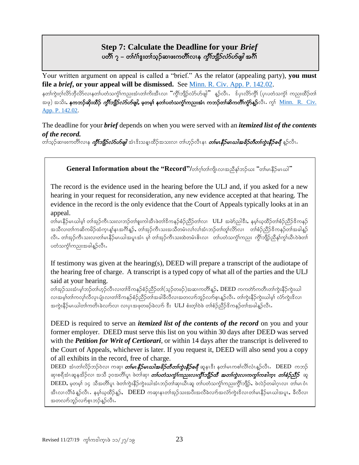# **Step 7: Calculate the Deadline for your** *Brief* ပတိ၊် ၇ – တၢ်ဂဲ၊်ဒူးတၢ်သ္၃်ဆ၊ဖးကတိၢ်လ၊န *ကိုၤ်ဘျိဉ်လံာ်ပာ်ဖျါ* အင်္ဂါ

Your written argument on appeal is called a "brief." As the relator (appealing party), **you must file a** *brief***, or your appeal will be dismissed.** See [Minn. R. Civ. App. P. 142.02.](https://www.revisor.mn.gov/court_rules/ap/subtype/rcap/id/142/#142.02) နတၢ်ကွဲးဂုၤ်လိာဘိုလိ>်လၢနတၢ်ပတံသက္ဂၤ်ကညးအံၤတၢ်ကိႈအီၤလ၊ "ကွိၤ်ဘျိဉ်လံ>်ပၖဖျါ" နူဉ်လီၤ န်ပုၤလိ>်ကွီၤ် (ပုၤပတံသက္ဂၤ် ကညးထိဉ်တၤ် အဖု) အသိး, နကဘဉ်ဆိုးထိဉ် *ကွိါဘျီဉ်လံာ်ဟ်ဖျါ,* မှတမှု၊ နတ္ပါပတံသက္ခါကညးအံၤ ကဘဉ်တါဆိကတိါကွာ်နူဉ်လိၤ. ကွ<sup>ု</sup> <u>Minn. R. Civ.</u> [App. P. 142.02.](https://www.revisor.mn.gov/court_rules/ap/subtype/rcap/id/142/#142.02)

The deadline for your *brief* depends on when you were served with an *itemized list of the contents of the record.*

တၢ်သွဉ်ဆ၊ဖးကတိၢ်လၢနု *ကွီးဘျိုဉ်လံာ်ဟ်ဖျါ* အံၤဒိးသန္ၤထိဉ်အသးလ၊ တ၊်ဟုဉ်လီၤနၤ *တ၊်မ၊နီဉ်မ၊ဃါအခိဉ်တီတ၊်ကွဲးနီဉ်စရီ နူ*ဉ်လီၤ.

#### **General Information about the "Record"/**တၢ်က်က်ကျလာအညီနှာ်ဘဉ်ယး "တျမဴးနိဉ်မယေါ်"

The record is the evidence used in the hearing before the ULJ and, if you asked for a new hearing in your request for reconsideration, any new evidence accepted at that hearing. The evidence in the record is the only evidence that the Court of Appeals typically looks at in an appeal.

တါမၤနိဉ်မၤယါမ့ါ တါအုဉ်ကီၤသးလၢဘဉ်တါစူးကါအီၤဖဲတါဒိကနဉ်စံဉ်ညီဉ်တါလ၊ ULJ အမဲာ်ညါဒီး,နမ့္ပြဲယူထိဉ်တါစံဉ်ညီဉ်ဒိကနဉ် အသိလ၊တၢ်ကဆိကမိဉ်ထံကူၤန္၊်နၤအဂိၢန္ဥ်, တၢ်အှဉ်ကီၤသးအသိတမံၤလ၊်လ၊်အံၤဘဉ်တ၊်တူ၊်လိာ်လ၊ တ၊်စံဉ်ညီဉ်ဒိကနဉ်တ၊်အခါန္ဥ် လီၤ. တါအုဉ်ကီၤသးလၢတါမၤနိဉ်မၤယါအပူၤအံၤ မူ) တါအုဉ်ကီၤသးထဲတမံၤဓိၤလ၊ တ၊်ပတံသက္ငံ)ကညး ကွိၤ်ဘျိဉ်ညီနှၤ်ကွၤ်ယီၤဝဲဖဲတၤ် ပတံသကဲ့်္ဂကညးအခါန္βလိၤ.

If testimony was given at the hearing(s), DEED will prepare a transcript of the audiotape of the hearing free of charge. A transcript is a typed copy of what all of the parties and the ULJ said at your hearing.

တၢ်အုဉ်သးအံၤမ္၊်ဘဉ်တ၊်ဟ္ဥာလိၤလ၊တၢ်ဒိကနဉ်စံဉ်ညိဉ်တ၊်(သ္ဥတဖဉ်)အဆ၊ကတိ၊န္ဥာ်, DEED ကကတ်ာ်ကတီၤတ၊်ကွဲးနိဉ်ကွဲးယါ လ၊အမ္နါတါကလု၊်လိလုၤပျံၤလ၊တါဒိကနဉ်စံဉ်ညီဉ်တါအခါခီလီလ၊အတလၢာ်ဘူဉ်လၢာစူးနူဉ်လီး. တ၊်ကွဲးနိဉ်ကွဲးယါမှ၊် လံာ်ကွဲးဒိလ၊ အကွဲးနိဉ်မၤယါတ၊်ကတိၤခဲလၢာ်လ၊ လ၊ပုၤအဖုတဖဉ်ခဲလၢာ် ဒီး ULJ စံးတ္၊်ဝဲဖဲ တ၊်စံဉ်ညီဉ်ဒိကနဉ်တ၊်အခါန္ဉာလိၤ.

DEED is required to serve an *itemized list of the contents of the record* on you and your former employer. DEED must serve this list on you within 30 days after DEED was served with the *Petition for Writ of Certiorari*, or within 14 days after the transcript is delivered to the Court of Appeals, whichever is later. If you request it, DEED will also send you a copy of all exhibits in the record, free of charge.

DEED အံၤတၢ်လိဉ်ဘဉ်ဝဲလ၊ ကဆု၊ *တ်မ၊ နိဉ်မ၊ဃါအခိဉ်တီတ၊်ကွဲးနိဉ်စရီ* ဆူနၤဒီး နတ၊်မၤကစၢ်လိၢ်လံၤန္ဉ်လီၤ. DEED ကဘဉ် ဆု၊စရိအံၤဆူနအိဉ်လ၊ အသိ ၃၀အတိါပူး ဖဲတါဆု၊ *တ်ပတံသက္ခါကညးလ၊ကွိါဘို့ဉ်ထိ အတၢ်ကွဲးလ၊ကကွ၊်ကrါက္၊ တၢ်စံဉ်သိဉ် ဆူ* DEED, မှတမ့် ၁၄ သိအတိ)်ပူး ဖဲတ၊်ကွဲးနိဉ်ကွဲးယါအံၤဘဉ်တ၊်ဆု၊ယီၤဆူ တ၊်ပတံသက္ဂါကညးကွိါဘျိဉ်, ဖဲလဲဉ်တခါဂူၤလ၊ တ၊်မၤဝံၤ အီၤလၢလိၢ်ခံနူဉ်လီၤ $\cdot$  နမ္နါယ္မထိဉ်နူဉ် $\cdot$   $\cdot$  DEED ကဆု၊နၤတါအုဉ်သးအပီးအလိခဲလက်အလံာ်ကွဲးဒိလ၊တါမ၊နိဉ်မၤယါအပူၤ $\cdot$  ခီလီလ၊ အတလၢာ်ဘူဉ်လၢာ်စူးဘဉ်နဉ်လီး.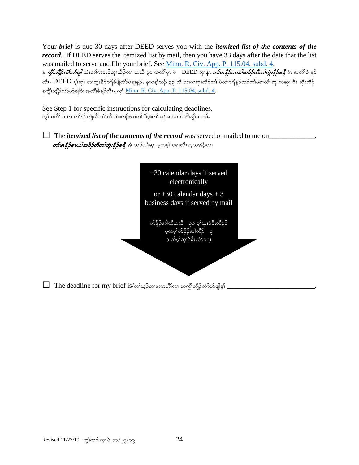Your *brief* is due 30 days after DEED serves you with the *itemized list of the contents of the record*. If DEED serves the itemized list by mail, then you have 33 days after the date that the list was mailed to serve and file your brief. See [Minn. R. Civ. App. P. 115.04, subd. 4.](https://www.revisor.mn.gov/court_rules/ap/subtype/rcap/id/115/#115.04) န *ကွိၤ်ဘျီဉ်လံ5ဟ်ဖျါ* **အံၤ**တၢ်ကဘဉ်ဆု၊ထိဉ်လ၊ အသိ ၃၀ အတိၢ်ပူ၊ ဖဲ \_ DEED ဆု၊န၊ *တ်၊မ၊<i>နီဉ်မ၊ဃါအဓိဉ်တီတ၊်ကွဲးနီဉ်စရီ* **ဝံ**၊ အလိၢ်ခံ နူဉ် လီၤ.  $\rm DEED$  မ့ါဆု၊ တါကွဲးနိဉ်စရီခီဖိျလ်ာ်ပရၢနူဉ်, နကန့္ပါဘဉ် ၃၃ သီ လၢကဆု၊ထိဉ်တါ ဖဲတါစရီနူဉ်ဘဉ်တါပရၢလီၤဆူ ကဆု၊ ဒီး ဆိုးထိဉ် နတ္ပါဘျီဉ်လံာ်ဟ်ဖျါဝံၤအလိါခံနဉ်လီၤ. ကုโ $\text{Minn}$ . R. Civ. App. P. 115.04, subd. 4.

See Step 1 for specific instructions for calculating deadlines. ကွါ ပတိါ ၁ လ၊တါနဲဉ်ကျဲလီ၊တံ၊လီ၊ဆဲးဘဉ်ယးတါဂါဒွးတါသူဉ်ဆ၊ဖးကတိါန္ဉာ်တက္၊်.

 $\Box$  The *itemized list of the contents of the record* was served or mailed to me on  $\Box$  $\emph{of}$ မာနီ $\emph{beta}$ မားတိ $\emph{beta}$ ကိုတ် $\emph{alpha}$ နီ $\emph{beta}$ စရီ အံၤဘဉ်တ $\emph{alpha}$ းမှတမှ $\emph{alpha}$ းရယအိဉ်လ $\emph{alpha}$ 



 $\Box$  The deadline for my brief is/တ)သေ့ဉ်ဆ $\circ$ းကတိၤ်လ၊ ယက္ဂိၤ်ဘျိဉ်လံ $\circ$ တ်ဖျဲမ့) \_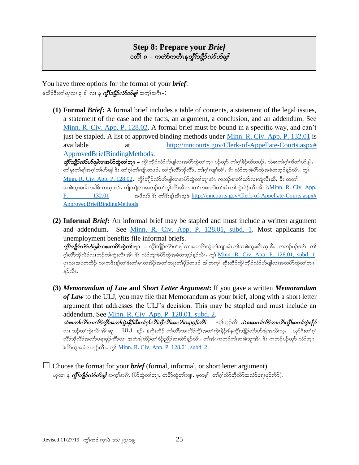#### **Step 8: Prepare your** *Brief* ပတိၢ် ၈ – ကတ်ာကတီၤန*က္ခိၢ်ဘျီဉ်လံာ်ပာ်ဖျါ*

You have three options for the format of your *brief*: နအိဉ်ဒီးတ၊်*ယုထ၊* ၃ ခါ လ၊ န *ကွိၢ်ဘျိဉ်လံာ်ဟ်ဖျါ အ*က္ခါအဂီၤ– $:$ 

**(1) Formal** *Brief***:** A formal brief includes a table of contents, a statement of the legal issues, a statement of the case and the facts, an argument, a conclusion, and an addendum. See [Minn. R. Civ. App. P. 128.02.](https://www.revisor.mn.gov/court_rules/ap/subtype/rcap/id/128/#128.02) A formal brief must be bound in a specific way, and can't just be stapled. A list of approved binding methods under [Minn. R. Civ. App.](https://www.revisor.mn.gov/court_rules/ap/subtype/rcap/id/132/#132.01) P. 132.01 is available at http://mncourts.gov/Clerk-of-Appellate-Courts.aspx# [ApprovedBriefBindingMethods.](http://mncourts.gov/Clerk-of-Appellate-Courts.aspx# ApprovedBriefBindingMethods) uG D>bsD.vHmymzsgvXtydmxGJw>bsXA=AuGD>bsD.vHmymzsgvXtydmxGJw>bsXAy.CkmAw>\*h>cd.wDwz.<AoJp;w>\*h>uDw>ymzsg<A တ)်မူးတ)်ရာအဂ္ဂါတ်ဟ်ဖျါ ဒီး တ၊်ဂုၤ်တ၊်ကျိၤတဖဉ်, တ၊်ဂုၤ်လိ>ဘိုလိ>်, တ၊်ဂုၤ်ကျၤ်တံ}, ဒီး လံာ်ဘျးစဲဟ်ထွဲအခံတဘုဉ်နူဉ်လီၤ. ကွၤ်  $\underline{\text{Minn. R. Civ. App. P. } 128.02}$ . ကွိၤ်ဘျိဉ်လ်ာ်ပာ်ဖျါလၢအပိ $\lambda$ တ္တာကျအံၤ ကဘဉ်စ၊တံ၊်ယာ်လၢကျဲလီၤဆီ, ဒီး ထဲတ၊် ဆးစဲဘူးစးခိတခါဓိၤတသ္ဘာဉ်. ကျိုးကျဲလ၊အဘဉ်တၢ်တူ၊်လိာ်အီၤလ၊တ၊်ကစ၊တံ၊်တ၊်အံၤတ၊်ကွဲးရဲဉ်လီၤအီၤ ဖဲ<u>Minn. R. Civ. App.</u>

 $P.$  132.01  $\bullet$  အဖိလ $\delta$   $\mathbf{\hat{s}}$ း တါ $\mathbf{\hat{s}}$ းရွှိသေသွဲဖ http://mncourts.gov/Clerk-of-Appellate-Courts.aspx# [ApprovedBriefBindingMethods.](http://mncourts.gov/Clerk-of-Appellate-Courts.aspx# ApprovedBriefBindingMethods)

- **(2) Informal** *Brief***:** An informal brief may be stapled and must include a written argument and addendum. See [Minn. R. Civ. App. P. 128.01, subd. 1.](https://www.revisor.mn.gov/court_rules/ap/subtype/rcap/id/128/#128.01) Most applicants for unemployment benefits file informal briefs. ကွိဳးဘျို<mark>ဉ်*လံာ်ဟ်ဖျါ*လ၊အတပိာ်ထွဲတၢ်ဘျ၊ –</mark> ကွိၢ်ဘျိဉ်လံာ်ပာ်ဖျါလ၊အတပိာ်ထွဲတၢ်ဘျ၊အံၤတ၊်ဆႏစဲဘူးအီၤသ္ ဒီး ကဘဉ်ပဉ်ယှာ် တ၊် ဂ္)်လိ၁ဘိုလိ>်လ၊ဘဉ်တ၊်ကွဲးလီၤအီၤ ဒီး လံာ်ဘူးစဲဟိတွဲအခံတဘုဉ်နူဉ်လီၤ. ကွ\် <u>Minn. R. Civ. App. P. 128.01, subd. 1</u>. ပုၤလ၊အပတံထိဉ် လ၊ကဒိးန့၊်တ၊်ဖံးတ၊်မၤတအိဉ်အတ၊်ဘျုးတ၊်ဖိုဉ်တဖဉ် အါတက္၊် ဆိုးထိဉ်ကွိၢ်ဘျိဉ်လံာ်ဟ်ဖျါလ၊အတပိာ်ထွဲတ၊်ဘျ န့ဉ်လီၤ.
- **(3)** *Memorandum of Law* **and** *Short Letter Argument***:** If you gave a written *Memorandum of Law* to the ULJ, you may file that Memorandum as your brief, along with a short letter argument that addresses the ULJ's decision. This may be stapled and must include an addendum. See [Minn. R. Civ. App. P. 128.01, subd. 2.](https://www.revisor.mn.gov/court_rules/ap/subtype/rcap/id/128/#128.01)  $\Delta$ စးတ $\delta$ လ်ာဘၤလိ်ကိုးအတ $\delta$ ကွဲးနီဉ်ဒီးတ $\delta$ ဂ္ $\delta$ လ်ာဘိုလ်ာအလံ $\delta$ ၀ဈဖှဉ်ကိ $S$  – နမ့္ပ်ဟှဉ်လီၤ သဲစးအတ $\delta$ လ်ာဘၤလိ $\delta$ ကိုးအတ $\delta$ ကွဲးနီဉ် လ၊ ဘဉ်တၢ်ကွဲးလီၤအီၤဆူ ULJ နူဉ်, နဆိုးထိဉ် တၢ်လိာဘၢလိာ်ကွိၤ်အတၢ်ကွဲးနိဉ်ဒ်နကွိၤ်ဘျိဉ်လံာ်ဟ်ဖျါအသိးသ့, ယှာ်ဒီးတၢ်ဂူ လိ>်ဘိုလိ>်အလံ>်ပရၢဖုဉ်ကိ>်လ၊ အတဲဖျါထိဉ်တၢ်စံဉ်ညိဉ်ဆ၊တဲာ်နှဉ်လီၤႉ တၢ်အံၤကဘဉ်တ၊်ဆးစဲဘူးအီၤ ဒီး ကဘဉ်ပဉ်ယှာ် လံာ်ဘူး စဲတိတွဲအခံတဘုဉ်လီၤ. ကွ\် <u>Minn. R. Civ. App. P. 128.01, subd. 2</u>.

 $\Box$  Choose the format for your *brief* (formal, informal, or short letter argument). ယုထ၊ န *ကွီးဘျီဉ်လံာ်ဟ်ဖျါ* အက္ခ္အနာရီ၊ (ဟိုထွဲတ္ပါဘျ၊, တပိတ်ထွဲတာဘျ၊, မှတမှု) တာဂွာလိုဘိုလိုာအလုံာပရၢဖုဉ်ကို),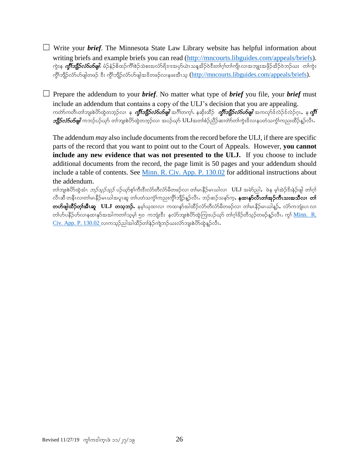☐ Write your *brief*. The Minnesota State Law Library website has helpful information about writing briefs and example briefs you can read [\(http://mncourts.libguides.com/appeals/briefs\)](http://mncourts.libguides.com/appeals/briefs). ကွဲးန *ကွိါဘို့ဉ်လံ5ဟ်ဖျါ.* **မံ**ဉ်နံဉ်စိထဉ်ကိ<sup>ု</sup>စဉ်သဲစးအလံာ်ရိဒၢးအပှာ်ယဲၤသန္နအိဉ်ဝဲဒီးတါဂုါတါကျိၤလၢအဘျုးအဖိုဉ်အိဉ်ဝဲဘဉ်ယး တါကွဲး ကိုၤ်ဘျိဉ်လံာ်ပန်ဖျါတဖဉ် ဒီး ကိုၤ်ဘျိဉ်လံာ်ပန်ဖျါအဒိတဖဉ်လၤနဖူးအီၤသ္ [\(http://mncourts.libguides.com/appeals/briefs\)](http://mncourts.libguides.com/appeals/briefs).

 $\Box$  Prepare the addendum to your *brief*. No matter what type of *brief* you file, your *brief* must include an addendum that contains a copy of the ULJ's decision that you are appealing. ကတ်ာကတိၤတၢ်ဘျးစဲပိာထွဲတဘ့ဉ်လ၊ နု *ကွီးဘျိုာ်လံာ်ဟ်ဖျါ* အင်္ဂါတက္i် နဆိုးထိဉ် *ကွီးဘျိုာ်လံာ်ပစ်ဖျါ အကလု*ဒ်လ်ော်လည်ဂူး, နု **ကွီး** *ာျီဉ်လံ5ဟ်ဖျါ* ကဘဉ်ပဉ်ယှာ် တ၊်ဘူးစဲဟိထွဲတဘွဉ်လ၊ အပဉ်ယှာ် ULJအတၢ်စံဉ်ညီဉ်ဆ၊တဲာတ၊်ကွဲးဒိလ၊နပတံသက္ခံ၊်ကညးထိဉ်နှဉ်လီၤ

The addendum *may* also include documents from the record before the ULJ, if there are specific parts of the record that you want to point out to the Court of Appeals. However, **you cannot include any new evidence that was not presented to the ULJ.** If you choose to include additional documents from the record, the page limit is 50 pages and your addendum should include a table of contents. See [Minn. R. Civ. App. P. 130.02](https://www.revisor.mn.gov/court_rules/ap/subtype/rcap/id/130/#130.02) for additional instructions about the addendum.

တ)်ဘူးစဲဟိတွဲအံၤ *ဘဉ်သှဉ်သှဉ်* ပဉ်ယှာ်စ့)်ကီးဒီးလံာ်တီလံာမိတဖဉ်လ၊ တါမၤနိဉ်မၤယါလ၊ ULJ အမဲာ်ညါ,ဖဲန မ့္ပ်ဆဲဉ်ဒီးနဲဉ်ဖျါ တ၊်ဂ္ လီၤဆီ တနီၤလၢတါမၤနိဉ်မၤယါအပူၤဆူ တါပတံသက္ဂၤ်ကညးကွိၢ်ဘျိဉ်န္ဉာလီၤႉ ဘဉ်ဆဉ်သနာ်က္**, နထၤနုာ်လီၤတၢ်အုဉ်ကီၤသးအသီလၤ တၢ် တဟ်ဖျါထိဉ်တု၊်အီၤဆူ ULJ တသ္<b>ဘဉ်.** နမ့္ပ်<sub></sub>ယုထၤလၢ ကထၢနှာ်အါထိဉ်လံာ်တီလံာမိတဖဉ်လၢ တျ်မၤနိဉ်မၤယါန္ဉ်, လံာ်ကဘျံးပၤလၢ တ၊်ဟ်ပနီဉ်ဟ်လၢနထ၊နာ်အအါကတၢါသူမှါ ၅၀ ကဘျံးဒီး နင်္လာဘျးစဲဟ်ထွဲကြားပဉ်ယှာ် တၢ်ဂ့ါခိဉ်တီသုဉ်တဖဉ်နဉ်လီၤ $\cdot$  ကွါ် $\underline{\text{Minn}}$ .  $\overline{\text{R}}$ .  $C$ iv. App. P. 130.02 လၢကသူဉ်ညါအါထိဉ်တါနဉ်ကျဲဘဉ်ယးလံာ်ဘူးစဲဟိတွဲနူဉ်လီၤ $\cdot$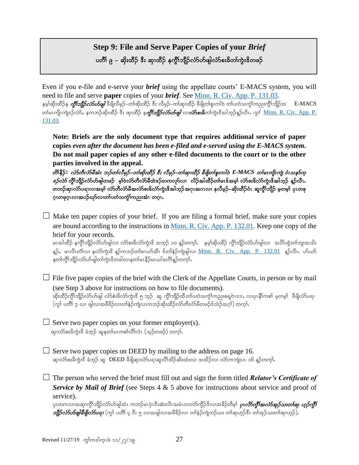# **Step 9: File and Serve Paper Copies of your** *Brief* ပတိ််၊ ၉ – ဆိုးထိဉ် ဒီး ဆု၊ထိဉ် နက္ဂိၤ်ဘျိဉ်လ်ာ်ပာ်ဖျါလံာ်စးခိတၢ်ကွဲးဒိတဖဉ်

Even if you e-file and e-serve your *brief* using the appellate courts' E-MACS system, you will need to file and serve **paper** copies of your *brief*. See [Minn. R. Civ. App. P. 131.03.](https://www.revisor.mn.gov/court_rules/ap/subtype/rcap/id/131/#131.03) နမ့္သ်ဆိုးထိဉ်န *ကွီးဘျီဉ်လံာ်ဟ်ဖျါ* ဒီဖျိလိမ့ဉ်–တါဆိုးထိဉ် ဒီး လိမ့ဉ်–တါဆု၊ထိဉ် ခီဖျိတါစူးကါဝဲ တါပတံသက္ပါကညးကွိါဘျိဉ်အ  $E\text{-MACS}$ တါမၤကျိၤကျဲဒဉ်လဲ>်, နကဘဉ်ဆိုးထိဉ် ဒီး ဆု၊ထိဉ် န*ကွီးဘျိဉ်လံ>်ပာ်ဖျါ* **လၤလံ>်စးခိ**တၤ်ကွဲးဒိအါဘုဉ်နဉ်လီၤ*. ကွၤ်* <u>Minn. R. Civ. App. P.</u> [131.03.](https://www.revisor.mn.gov/court_rules/ap/subtype/rcap/id/131/#131.03)

**Note: Briefs are the only document type that requires additional service of paper copies** *even after the document has been e-filed and e-served using the E-MACS system***. Do not mail paper copies of any other e-filed documents to the court or to the other parties involved in the appeal.**

တိ\ိနိဉ်: *လံာ်တီလံာမီအံၤ ဘဉ်တၤ်လီမှဉ်−တၤ်ဆိုးထိဉ် ဒီး လီမှဉ်−တၤ်ဆု၊ထိဉ် ခီဖျိတၤ်စူးကါဝဲ E-MACS တၤ်မၤ<i>ကျိၤကျ ဝံၤသန*ာ်က္  $\hat{\mathit{c}}$ ်ကိုကျီဉ်လံာဟ်ဖျါတဖဉ် မှါဝဲလံာ်တီလံာမီထဲနဉ်တကလှာ်လ၊ လိဉ်အါထီဉ်တ၊်မၤဖ်အမှ၊် လံာ်စးခိလံာ်ကွဲးဖိအါဘူဉ် နူဉ်လီၤ တဘဉ်ဆုၤလံာ်ပရၢလၢအမှါ လံာ်တီလံာ်မီအလံာ်စးခ်လံာ်ကွဲးဖိအါဘုဉ်အဂုၤအဂၤလၢ နလီမှဉ်–ဆိုးထိဉ်ဝံၤ ဆူကွိၢ်ဘျိဉ် မှတမ့၊် ပှၤတဖု ဂူးတဖုဂူးလ၊အပဉ်ဃှာ်လ၊တ၊်ပတံသက္ငံ၊်ကညးအံၤ တဂူး.

 $\Box$  Make ten paper copies of your brief. If you are filing a formal brief, make sure your copies are bound according to the instructions in [Minn. R. Civ. App. P. 132.01.](https://www.revisor.mn.gov/court_rules/ap/subtype/rcap/id/132/#132.01) Keep one copy of the brief for your records.

မၤအါထိဉ် နက္ပါဘျိဉ်လံာ်ဟ်ဖျါလ၊ လံာ်စးခိလံာ်ကူးဒိ အဘုဉ် ၁၀ နဉ်တက္ငါး - နမ္နါဆိုးထိဉ် ကိုါဘျိဉ်လံာ်ပာဖျါလ၊ -အပိာထဲ့တါဘျ၊အသိး နူဉ်, မၤလီၤတံၤ်လ၊ နင်္လာကွဲးဒိ န္ဉာ်ကဘဉ်တၢ်စၢဃာ်အီၤ ဒ်တၢ်နဲဉ်ကျဲဖျါလ၊ <u>[Minn. R. Civ. App. P. 132.01](https://www.revisor.mn.gov/court_rules/ap/subtype/rcap/id/131/#131.03)</u> နဉ်လီၤ. ဟ်ဃာ် နတၢ်ကွိၢ်ဘျိဉ်လံာ်ဟ်ဖျါတ၊်ကွဲးဒိတခါလၢနတ၊်မၤနိဉ်မၤယါအဂိၢ်န္ဉာ်တက္၊်.

 $\Box$  File five paper copies of the brief with the Clerk of the Appellate Courts, in person or by mail (see Step 3 above for instructions on how to file documents).

ဆိုးထိဉ်ကွိၢ်ဘျိဉ်လံာဟ်ဖျါ လံာ်စံးခိလံာ်ကွဲးဒိ ၅ ဘူဉ် ဆူ ကွိၢ်ဘျိဉ်ထိတၢ်ပတံသကွံၢ်ကညးစရူဝဲၤဒၢႏႇ လၢပုၤနိၢိကစၢ် မှတမှ၊ ခီဖျိလံာ်ပရၢ (ကု) ပတိ) ၃ လ၊ ဖျါလ၊အဖီခိဉ်လ၊တ)်နဉ်ကျဲလ၊ကဘဉ်ဆိုးထိဉ်လံာတိလံာမိတဖဉ်ဒ်လဲဉ်အဂ္ဂါ) တက္ $\mathbf{f}_{\cdot}$ 

 $\Box$  Serve two paper copies on your former employer(s). ဆု၊လံာ်စးခ်ကွဲးဒိ ခံဘူဉ် ဆူနတ၊်မၤကစၢ်လိၢ်လံၤ (သူဉ်တဖဉ်) တက္န၊်.

 $\Box$  Serve two paper copies on DEED by mailing to the address on page 16. ဆု၊လံာ်စးခ်ကွဲးဒိ ခံဘုဉ် ဆူ DEED ခီဖျိဆု၊လံာ်ပရ၊ဆူလိၢ်အိဉ်ဆိးထံးလ၊ အအိဉ်လ၊ လံာ်ကဘျံးပၤ ၁၆ န္ဥာ်တက္န)်.

 $\Box$  The person who served the brief must fill out and sign the form titled *Relator's Certificate of Service by Mail of Brief* (see Steps 4 & 5 above for instructions about service and proof of service).

ပုၤတဂၤလၢအဆု၊ကို၊်ဘျိဉ်လံာ်ဟ်ဖျါအံၤ ကဘဉ်မၤပုံၤဒီးဆဲးလီၤအမံၤလ၊လံာ်ကိုဉ်ဒိလ၊အခိဉ်တိမ္၊ *ပုၤလိာ်ကို၊်အလံာ်အုဉ်သးတ၊်ဆု ဟူဉ်ကို၊် ဘျိုာ်လံာပ်တဖျါခီဖျိလံာ်ပရາ (ကွ*်္ဂပတိ၊် ၄ ဒီး ၅ လၢအဖျါလ၊အဖိခိဉ်လ၊ တ၊်နဲဉ်ကျဲဘဉ်ယး တ၊်ဆုဟ္ဉာ်ဒီး တ၊်အုဉ်သးတ၊်ဆု၊ဟ္ဉ်)**.**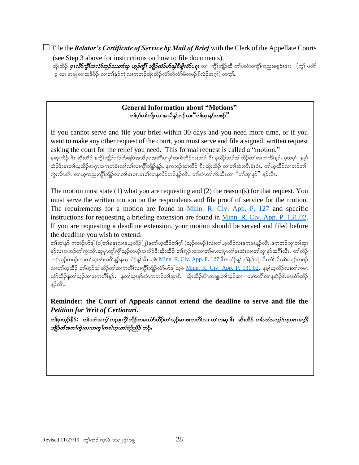☐ File the *Relator's Certificate of Service by Mail of Brief* with the Clerk of the Appellate Courts (see Step 3 above for instructions on how to file documents).

ဆိုးထိဉ် *ပုၤ<i>လိ5ကို***၊်အ***လံ5အုဉ်သးတၤ်ဆု ဟူဉ်ကို၊် ဘျိုဉ်လံ5ဟ်ဖျါနီဖျိုလံ5ပရၢ* **လၢ ကွိၢ်ဘျိဉ်ထိ တၢ်ပတံသကွံ၊်ကညးစရူဝဲၤဒၢး (ကွ၊် ပတိၢ်** ၃ လ၊ အဖျါလ၊အဖီခိဉ် လ၊တါနဲဉ်ကျဲလ၊ကဘဉ်ဆိုးထိဉ်လံာ်တီလံာ်မိတဖဉ်ဒ်လဲဉ်အဂ္ဂါ) တက္ $\mathbf{i}$ .

#### **General Information about "Motions"** တၢ်ဂ္၊်တၢ်ကျိၤလၢအညီနှၤ်ဘဉ်ဃး"တၢ်ဆု၊နှာ်တဖဉ်"

If you cannot serve and file your brief within 30 days and you need more time, or if you want to make any other request of the court, you must serve and file a signed, written request asking the court for the relief you need. This formal request is called a "motion." နဆု၊ထိဉ် ဒီး ဆိုးထိဉ် နက္ဂိၢ်ဘျိဉ်လံာ်ပာဖျါဖဲအသိ၃၀အတိ၊်ပူးမ့္ပ်တကဲထိဉ်သးဘဉ် ဒီး နလိဉ်ဘဉ်အါထိဉ်တ၊်ဆၢကတိ၊်နူဉ်, မူတမ့္် နမ့္ပ် အဲဉ်ဒိးမၤတါယ္နထိဉ်အဂုၤအဂၤတမံၤလၤ်လၤ်လ၊ကွိၢ်ဘျိဉ်န္ဉဉ်, နကဘဉ်ဆု၊ထိဉ် ဒီး ဆိုးထိဉ် လ၊တၢ်ဆဲးလီၤမံၤဝံၤ,တါယ္နထိဉ်လ၊ဘဉ်တၤ် ကွဲးလီၤအီၤ လၢဃ္စကညးကွိၢ်ဘျိဉ်လ၊တၢ်မၤစၢ၊မၤစၢ်လၢနလိဉ်ဘဉ်နဉ်လီၤ $\cdot$  တ၊်အံၤတ၊်ကိးအီၤလ၊ "တ၊်ဆု၊န $\delta$ " နဉ်လီၤ $\cdot$ 

The motion must state (1) what you are requesting and (2) the reason(s) for that request. You must serve the written motion on the respondents and file proof of service for the motion. The requirements for a motion are found in <u>[Minn. R. Civ. App. P. 127](https://www.revisor.mn.gov/court_rules/ap/subtype/rcap/id/127/)</u> and specific instructions for requesting a briefing extension are found in [Minn. R. Civ. App. P. 131.02.](https://www.revisor.mn.gov/court_rules/ap/subtype/rcap/id/131/#131.02) If you are requesting a deadline extension, your motion should be served and filed before the deadline you wish to extend.

တါဆု၊နု၁် ကဘဉ်ဟ်ဖျါ $($ ၁)တါမနုၤလၢနယ္ဝတိဉ် $($ ၂)နတါယ္ဝတိဉ်တါဂ္ $\mathfrak h$  (သ့ဉ်တဖဉ်)လ၊တါယ္ဝတိဉ်လ၊နကမၤန္ဉာ်လီၤ.နကဘဉ်ဆု၊တါဆု၊ နှာ်လၢအဘဉ်တၢ်ကွဲးလီၤဆူပုၤတူ၊်ကွိၢ်သူဉ်တဖဉ်အအိဉ်ဒီးဆိုးထိဉ် တၢ်အုဉ်သးလ၊တ၊်မၤလ၊ပုဲၤတ၊်မၤအံၤလ၊တ၊်ဆု၊နုာ်အင်္ဂါလီၤ ဘဉ်သုဉ်တဖဉ်လ၊တါဆု၊နှာ်အင်္ဂါန္ဉာ်နယုထံဉ်န္]အီၤသုဖဲ <u>[Minn. R. Civ. App. P. 127](https://www.revisor.mn.gov/court_rules/ap/subtype/rcap/id/127/) </u>ဒီးနထံဉ်န္]်တါနဲဉ်ကျဲလီၤတႆ၊လီၤဆဲးသုဉ်တဖဉ် လ၊တါယ္နထိဉ် တါဟ္ဥါအါထိဉ်တါဆ၊ကတိၤ်လ၊ကွိၤဘျိဉ်လံာ်ပာ်ဖျါသ္၀ဲ <u>Minn. R. Civ. App. P. 131.02</u>. နမ္ါယ္နထိဉ်လ၊တါကမၤ ယ်ာ်ထိဉ်နတၢ်သူဉ်ဆၢဖးကတိၢိန္ဉ်, နတၢ်ဆု၊နှာ်အံၤကဘဉ်တ၊်ဆု၊ဒီး ဆိုးထိဉ်အီၤတချူးတ၊်သူဉ်ဆ၊ ဖးကတိ၊်လ၊နအဲဉ်ဒိးမၤယံာ်ထိဉ် န္5လီၤ.

**Reminder: the Court of Appeals cannot extend the deadline to serve and file the**  *Petition for Writ of Certiorari***.**

တၢ်ဒုးသုဉ်နိဉ်**:** တ၊်ပတံသကွံၢ်ကညးကွိၢ်ဘျိဉ်တမၤယ်ာ်ထိဉ်တ၊်သုဉ်ဆ၊ဖးကတိၢ်လ၊ တ၊်ကဆု၊ဒီး ဆိုးထိဉ် *တ၊်ပတံသကွံၢ်ကညးလ၊ကွိ*၊ ဘျီဉ်ထီအတၢ်ကွဲးလၢကကွၢ်ကဒါက္စ္ဟာတစ်စဉ်ညီဉ် ဘဉ်.

֦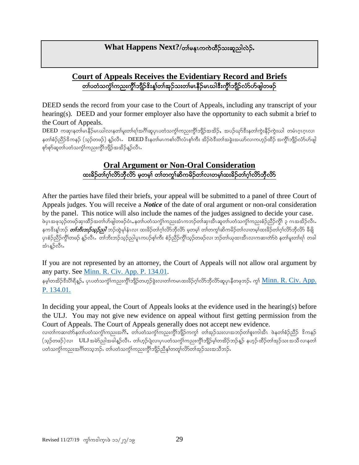# **What Happens Next?/**တါမန္မၤကကဲထိဉ်သးဆူညါလဲဉ်.

#### **Court of Appeals Receives the Evidentiary Record and Briefs** တၢ်ပတံသကွံၤ်ကညးကွိၢ်ဘျိဉ်ၖိးန္၊်တၢ်အှဉ်သးတ၊်မၤနိဉ်မၤဃါဒီးကွိၢ်ဘျိဉ်လံာ်ဟ်ဖျါတဖဉ်

DEED sends the record from your case to the Court of Appeals, including any transcript of your hearing(s). DEED and your former employer also have the opportunity to each submit a brief to the Court of Appeals.

 $\overline{\mathrm{DEED}}$  ကဆု၊နတါမၤနီဉ်မၤဃါလ၊နတါမူးတါရါအဂိါဆူပုၤပတံသက္ငါကညးကွိါဘိုဉ်အအိဉ်, အပဉ်ယှာ်ဒီးနတါကွဲးနီဉ်ကွဲးဃါ တမံၤဂူၤဂူၤလ၊ နတၢ်စံဉ်ညီဉ်ဒိကနဉ် (သူဉ်တဖဉ်) နူဉ်လီၤ. DEED ဒီးနတၢ်မၤကစၢ်လိၢ်လံၤစ္နက်း အိဉ်ဝဲဒီးတၢ်အခွဲးအယာ်လၢကဟုဉ်ထိဉ် အကွိၤဘျိဉ်လံာ်ဟ်ဖျါ စှာ်စုာ်ဆူတ၊်ပတံသကွဲၤ်ကညးကွိၤ်ဘျိဉ်အအိဉ်နူဉ်လီၤ

#### **Oral Argument or Non-Oral Consideration** ထးခိဉ်တၢ်ဂ္ဂါလိာ်ဘီလိာ မှတမှ) တ၊တက္ဂါဆိကမိဉ်တ၊်လ၊တမ္၊်ထးခိဉ်တ၊်ဂ္ဂါလိာဘီလိာ

After the parties have filed their briefs, your appeal will be submitted to a panel of three Court of Appeals judges. You will receive a *Notice* of the date of oral argument or non-oral consideration by the panel. This notice will also include the names of the judges assigned to decide your case. ဖဲပုၤအဖုသ္ဥတဖဉ်ဆု၊ထိဉ်အတၢ်ဟ်ဖျါတဖဉ်ဝံၤႇနတၢ်ပတံသက္ဂၤ်ကညးအံၤကဘဉ်တ၊်ဆု၊အို၊ဆူတ၊်ပတံသက္ဂၤ်ကညးစံဉ်ညှိဉ်ကွိ၊် ၃ ဂၤအအိဉ်လီၤ နက<sup>္မွ</sup>ိးနှုံဘဉ် *တၢ်ဘိးဘဉ်သုဉ်သါ* ဘဉ်ထွဲမှုနံၤလ၊ ထးခိဉ်တၢ်ဂုၤ်လိဘီလိဉ် မှတမ့္ပ် တ၊်တကွ၊်ဆိကမိဉ်တ၊်လ၊တမ့၊်ထးခိဉ်တ၊်ဂုၤ်လိ၁ဘီလိ၁ ခီဖျိ ပုၤစံဉ်သို့ဉ်ကွိၤ်တဖဉ် နူဉ်လီၤ $\cdot$  တ၊်ဘိးဘဉ်သူဉ်ညါပူၤကပဉ်စ့၊်ကီး စံဉ်ညီဉ်ကွိၤ်သူဉ်တဖဉ်လ၊ ဘဉ်တ၊်ယုထ၊အီၤလ၊ကဆ၊တဲာ်ဝဲ နတ၊်မူးတ၊်ရ၊် တခါ အံၤန္βလီၤ.

If you are not represented by an attorney, the Court of Appeals will not allow oral argument by any party. See [Minn. R. Civ. App. P. 134.01.](https://www.revisor.mn.gov/court_rules/ap/subtype/rcap/id/134/)

နမ့္ပ်တအိဉ်ဒီးပိါရီနူဉ်, ပုၤပတံသက္ငံါကညးကွိါဘျိဉ်တဟုဉ်ခွဲးလ၊တ၊်ကမၤထးခိဉ်ဂုၤ်လိာဘိုလိာ်ဆူပုၤနီတဖုဘဉ်. ကွ\ <u>Minn. R. Civ. App.</u> [P. 134.01.](https://www.revisor.mn.gov/court_rules/ap/subtype/rcap/id/134/)

In deciding your appeal, the Court of Appeals looks at the evidence used in the hearing(s) before the ULJ. You may not give new evidence on appeal without first getting permission from the Court of Appeals. The Court of Appeals generally does not accept new evidence.

လ၊တါကဆ၊တဲာ်နတၤ်ပတံသကွဲၤ်ကညးအင်္ဂါ, တၤ်ပတံသကွဲၤ်ကညးကွိၢ်ဘျိဉ်ကကွၤ် တၢ်အုဉ်သးလ၊အဘဉ်တ၊်စူးကါအီၤ ဖဲနတၢ်စံဉ်ညီဉ် ဒိကနဉ် (သုဉ်တဖဉ်)လၢ ULJ အမဲာ်ညါအခါန္ဥာလီၤႉ တါဟုဉ်ပျဲလ၊ပုၤပတံသကွဲၤ်ကညးကွိၢ်ဘျိဉ်မှ၊်တအိဉ်ဘဉ်နှဉ် နဟုဉ်ထိဉ်တၢ်အှဉ်သးအသိလ၊နတၤ် ပတံသက္င်္ဂါကညးအင်္ဂါတသူဘဉ်**.** တၤ်ပတံသက္င်္ဂါကညးကွိၢ်ဘျိဉ်ညီနှုတတျာ်လိာတ၊်အုဉ်သးအသီဘဉ်**.**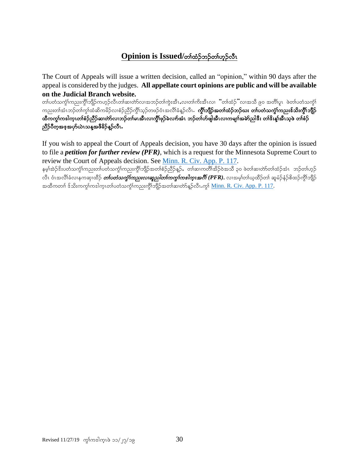# **Opinion is Issued/**တ်ထံဉ်ဘဉ်တ်ဟုဉ်လီၤ

The Court of Appeals will issue a written decision, called an "opinion," within 90 days after the appeal is considered by the judges. **All appellate court opinions are public and will be available on the Judicial Branch website.**

တ္ပါပတံသက္ခံ)ကညးကွိၤဘျိဉ်ကဟ္ဥ်ာလီၤတါဆ၊တဲာလ၊အဘဉ်တါကွဲးအီၤႇလ၊တါကိႈအီၤလ၊ "တါထံဉ်"လ၊အသိ ၉၀ အတိါပူၤ ဖဲတ၊်ပတံသက္ခံ) ကညးတါအံၤဘဉ်တါကွါထံဆိကမိဉ်လၢစံဉ်ညီဉ်ကွိါသွဉ်တဖဉ်ဝံၤအလိါခံနူဉ်လီၤ**. ကွိါဘျီဉ်အတါထံဉ်ဘဉ်ဃး တါပတံသကွံါကညးဒ်သိးကွိါဘျိဉ်** ထီကကွ\ကဒါက္ၤတၢ်စံဉ်ညီဉ်ဆ၊တဲာ်လ၊ဘဉ်တ၊်မၤအီၤလ၊ကွီၤ်ဖုဉ်ခဲလက်အံၤ ဘဉ်တၢ်ဟ်ဖျါအီၤလ၊ကမျπ်အမဲာ်ညါဒီး တၢ်ဒိးန္၊်အီၤသ္ဖဲ တၢ်စံဉ် ညီဉ်ပီတူအစ္နအဟိုယ်ၤသန္နအဖီခိဉ်န္ဥာလီၤ.

If you wish to appeal the Court of Appeals decision, you have 30 days after the opinion is issued to file a *petition for further review (PFR)*, which is a request for the Minnesota Supreme Court to review the Court of Appeals decision. See [Minn. R. Civ. App. P. 117.](https://www.revisor.mn.gov/court_rules/ap/subtype/rcap/id/117/)

ှနမ့ါအဲဉ်ဒိးပတံသကွဲါကညးတါပတံသကွဲါကညးကွိါဘျိဉ်အတၢစဉ်ညီဉ်နှဉ်,တါဆၢကတိါအိဉ်ဝဲအသိ ၃၀ ဖဲတါဆ၊တဲာ်တါထံဉ်အံၤာဘ်တ၊်ဟုဉ် လီၤ ဝံၤအလိၢ်ခံလၢနကဆု၊ထိဉ် *တ်ပတံသကွာ်ကညးလ၊ဆူညါတၤ်ကကွၤ်ကအါက္ၤအဂိၢ် (PFR)*, လ၊အမ္<sup>ု</sup>တၢ်ယူထိဉ်တၢ် ဆူမံဉ်နံဉ်စိထဉ်ကွိၢ်ဘျိဉ် အထိကတၢါ ဒ်သိးကကွါကဒါက္၊တ၊်ပတံသက္ခါကုသးကွိါဘိုုဉ်အတၤ်ဆ၊တဲာ်နဉ်လီၤ.ကွါ <u>Minn. R. Civ. App. P. 117</u>.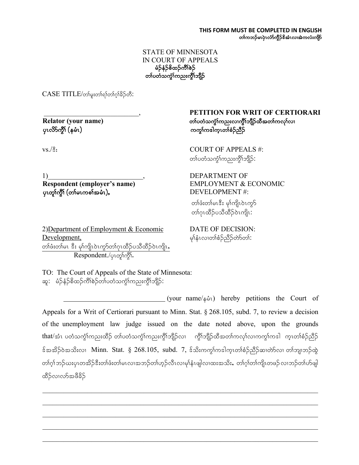#### STATE OF MINNESOTA IN COURT OF APPEALS မံဉ်နံဉ်စိထဉ်ကိၢိစဉ် တၤ်ပတံသကဲ့ၤ်ကညးကိုၤ်ဘျိဉ်

 $CASE$  TITL $E/\omega$ ာ်မူးတါရာ်တါဂ္ $i$ ခိဉ်တီ:

ySRvdmuGD> (erHR)uuG>u'guhRw>pH.nD.

\_\_\_\_\_\_\_\_\_\_\_\_\_\_\_\_\_\_\_\_\_\_\_\_\_\_\_, **PETITION FOR WRIT OF CERTIORARI Relator (your name)** ကာလာသော အသုံးသည် အကြံသည် အသုံးကြီး အသုံးလည်းလည်း အသုံးလည်း

 $\text{volRT OF APPEALS } #:$ တ္ပါပတဲ့သက္ခံ)ယညးယွိုသျှိုဉ်:

1) Suppose that the contract of the DEPARTMENT OF

 **Respondent (employer's name)** EMPLOYMENT & ECONOMIC  $\mathsf{v}$ းတူးကို (တစ်းကစာ်အမံၤ), ကားလားကား  $\mathsf{D}\mathsf{E}\mathsf{V}\mathsf{E}\mathsf{L}\mathsf{O}\mathsf{P}\mathsf{M}\mathsf{E}\mathsf{N}\mathsf{T}$  #:

2)Department of Employment & Economic DATE OF DECISION:  $\frac{\text{Development}}{\text{p}}$ တၢ်ဖံးတ၊်မၤ ဒီး မု၊်ကျိၤဝဲၤကွာ်တၢ်ဂုၤထိဉ်ပသိထိဉ်ဝဲၤကျိၤ**,** Respondent./၄ၤတု၊်ကွိ<sup>ု</sup>.

တစ်းတစမေး မှ)ကျလကွ တၢ်ဂုၤထိဉ်ပသီထိဉ်ဝဲၤကျိၤ:

TO: The Court of Appeals of the State of Minnesota: ဆူ $:\;$ မံဉ်နံဉ်စိထဉ်ကိၢ်စဉ်တ၊်ပတံသကွဲၤ်ကညးကွိၤ်ဘျိဉ် $:$ 

(your name/ $\sin$ ) hereby petitions the Court of Appeals for a Writ of Certiorari pursuant to Minn. Stat. § 268.105, subd. 7, to review a decision of the unemployment law judge issued on the date noted above, upon the grounds that/အံၤ ပတံသက္ခံโကညးထိဉ် တၤ်ပတံသက္ခံโကညးကွိၢ်ဘျိဉ်လၢ ကွိၤ်ဘျိဉ်ထိအတၤ်ကလုၤ်လ၊ကကွၤ်ကဒါ ကူၤတၢ်စံဉ်ညိဉ်  $\frac{1}{2}$ န်အအိ $\frac{1}{2}$ တာတိုးလ၊ Minn. Stat.  $\S$  268.105, subd. 7, န်သီးကကွ $\frac{1}{2}$ က္ခါက္ $\frac{1}{2}$ တိုဆိုသာတိုလ၊ တ $\frac{1}{2}$ က္ခြဲထွဲ တၢ်ဂ္၊် ဘဉ်ယးပုၤတအိဉ်ဒီးတ၊်ဖံးတ၊်မၤလ၊အဘဉ်တ၊်ဟုဉ်လီၤလ၊မု၊်နှံၤဖျါလ၊ထးအသိး,တ၊်ဂ္ဂါတ၊်ကျိုၤတဖဉ် လ၊ဘဉ်တ၊်ဟ်ဖျါ ထိဉ်လၢလာအဖီခိဉ်

 $\mathcal{L}_\text{max} = \frac{1}{2} \sum_{i=1}^{n} \frac{1}{2} \sum_{i=1}^{n} \frac{1}{2} \sum_{i=1}^{n} \frac{1}{2} \sum_{i=1}^{n} \frac{1}{2} \sum_{i=1}^{n} \frac{1}{2} \sum_{i=1}^{n} \frac{1}{2} \sum_{i=1}^{n} \frac{1}{2} \sum_{i=1}^{n} \frac{1}{2} \sum_{i=1}^{n} \frac{1}{2} \sum_{i=1}^{n} \frac{1}{2} \sum_{i=1}^{n} \frac{1}{2} \sum_{i=1}^{n} \frac{1$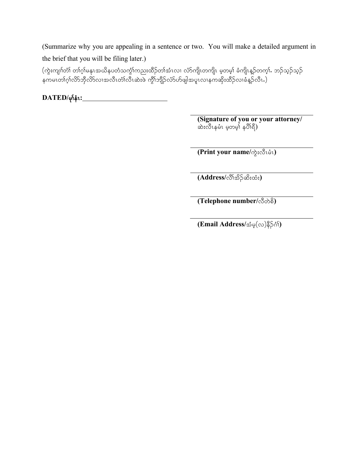(Summarize why you are appealing in a sentence or two. You will make a detailed argument in the brief that you will be filing later.)

 $\alpha$ းကျ $\delta$ က် တါဂ့ါမနုၤအယိနပတံသကွဲ $\delta$ ကညးထိဉ်တ $\delta$ အံၤလၢ လံာ်ကျိၤတကျိၤ မ့တမ့ $\delta$  ခံကျိၤန္ဉ်တက့ $\delta$ . ဘဉ်သွဉ်သွဉ် ု<br>နကမၤတၢ်ဂုၢဴလိ>ဘိုလိ>လၢအလီၤတံၢလီၤဆဲးဖဲ ကွိၢ်ဘျိဉ်လံ>ဟ်ဖျါအပူၤလၢနကဆိုးထိဉ်လၢခံနဉ်လီၤ.)

**DATED/**rk>eHR**:**

**(Signature of you or your attorney/** ဆဲးလီၤနမံၤ မ့တမ္န၊် နပိၢိရီ)

 $(Print your name / \partial x \cdot \partial \hat{u})$ 

 $(\overline{\text{Address}}/\overset{\mathbb{S}}{\circ} \overset{\mathbb{S}}{\circ} \overset{\mathbb{S}}{\circ} \cdots)$ 

 $(Telephone number / \sqrt{3} \rightarrow \frac{5}{9})$ 

 $(Email Address/s$ ်မ္ $(\infty)$ နိ**ု်**ဂ်)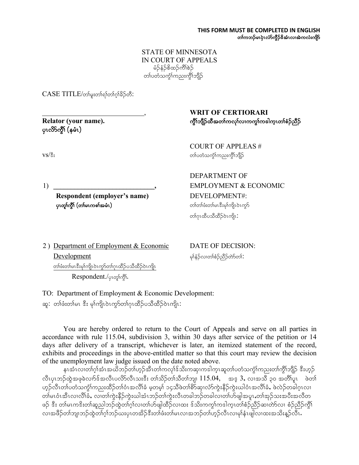STATE OF MINNESOTA IN COURT OF APPEALS မံဉ်နံဉ်စိထဉ်ကိၢိစဉ် တ္ပါပတဲ့သက္ခါကညးကွိုဘူဉ်

 $CASE$  TITL $E/\omega$ ာ်မူးတါရာ်တါဂူါခိဉ်တီ:

ပုၤလိ>်ကွိ\ (နမံၤ)

#### , **WRIT OF CERTIORARI Relator (your name).** uGD>bsD.xDtw>uvk>vXuuG>u'guhRw>pH.nD.

COURT OF APPLEAS #  $\mathrm{vs}/\mathrm{\AA}$ း which is a consequence of the consequence of  $\mathrm{co}$ ြသည် တာပတ်သက္ခါကညးကွိ $\mathrm{to}$ ါဉ်

 **Respondent (employer's name)** DEVELOPMENT#: **ပုၤတူၢ်က္ဂိၢ် (တၢဴမၤကစၢ်အမံၤ)** ကာလာသည့္ အေနာက္ အေျပာခဲ့တာ ကြင်းများကို ကုလည

DEPARTMENT OF 1) **EMPLOYMENT & ECONOMIC** တၢ်ဂုၤထိပသိထိဉ်ဝဲၤကျိၤ:

2) Department of Employment & Economic DATE OF DECISION:  $\underline{\text{Development}}$  $\infty$ တ်ဖီးတ $\infty$ းမှ $\infty$ ကို၊လဲကွာတ $\infty$ ကိုပထိဉ်ဝဲ $\infty$ ကို၊ Respondent./ပုလျှော်ကိုး.

TO: Department of Employment & Economic Development: ဆူ: တၢ်ဖံးတ၊်မၤ ဒီး မှ၊်ကျိၤဝဲၤကု႒်တၢ်ဂုၤထိဉ်ပသီထိဉ်ဝဲၤကျိၤ:

You are hereby ordered to return to the Court of Appeals and serve on all parties in accordance with rule 115.04, subdivision 3, within 30 days after service of the petition or 14 days after delivery of a transcript, whichever is later, an itemized statement of the record, exhibits and proceedings in the above-entitled matter so that this court may review the decision of the unemployment law judge issued on the date noted above.

နၤအံၤလ၊တါဂုါအံၤအယိဘဉ်တါဟုဉ်အီၤတါကလုါဒ်သိးကဆု၊ကဒါကူၤဆူတါပတံသက္ငါကညးတါကွိါဘျိဉ် ဒီးဟုဉ် လီးပုၤဘဉ်ထွဲအဖုခဲလၢာ်န်အလီးပလိ $5$ လီးသးနီး တၢ်သိဉ်တၢ်သိတၢ်ဘျ၊  $115.04$ , အန္ $3$ , လၢအသိ ၃၀ အတိၢ်ပူး ဖဲတၢ် ဟုဉ်လီၤတၢ်ပတံသက္ဂၢ်ကညးထိဉ်တၢ်ဝံၤအလိၢ်ခံ မှတမှ၊် ၁၄သိဖဲတ၊စိ႒်ဆု၊လံာကွဲးနိဉ်ကွဲးယါဝံၤအလိၢ်ခံ, ဖဲလဲဉ်တခါဂူၤလ၊ w)မၤဝံၤအီၤလ၊လိၢ်ခဲ, လ၊တ၊်ကွဲးနိဉ်ကွဲးယါအံၤဘဉ်တ၊်ကွဲးလီၤတခါဘဉ်တခါလ၊တ၊်ဟ်ဖျါအပူၤ,တ၊်အှဉ်သးအပီးအလီတ ဖဉ် ဒီး တါမၤကဒိးတါဆူညါဘဉ်ထွဲတါဂုါလ၊တါဟ်ဖျါထိဉ်လ၊ထး ဒ်သိးကကွါကဒါက္ၤတါစံဉ်ညီဉ်ဆ၊တ်ာ်လ၊ စံဉ်ညီဉ်ကွီါ လၢအဖိဉ်တၢ်ဘျာဘဉ်ထွဲတၢ်ဂ္ဂၢ်ဘဉ်ယးပုၤတအိဉ်ဒီးတ၊်ဖီးတ၊်မၤလၢအဘဉ်တ၊်ဟုဉ်လီၤလ၊မု၊်နှံၤဖျါလ၊ထးအသိးနှဉ်လီၤ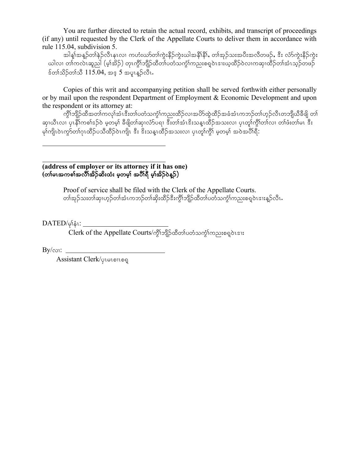You are further directed to retain the actual record, exhibits, and transcript of proceedings (if any) until requested by the Clerk of the Appellate Courts to deliver them in accordance with rule 115.04, subdivision 5.

အါန့၊်အန္ဥ်တာ်နဲ့ဥလိၤနၤလ၊ ကဟံးယာ်တၢ်ကွဲးနိဉ်ကွဲးယါအနိၢနိန်, တၢ်အုဉ်သးအပီးအလိတဖဉ်, ဒီး လံာ်ကွဲးနိဉ်ကွဲး ယါလ၊ တါကလဲၤဆူညါ (မ့ၢ်အိဉ်) တုၤကွိၢ်ဘျိဉ်ထိတၢ်ပတံသကွံၢ်ကညးစရပဲၤဒၢးယ့ထိဉ်ဝဲလၢကဆှ၊ထိဉ်တၢ်အံၤသ့ဉ်တဖဉ်  $\frac{1}{2}$ တ်သိဉ်တ $\frac{3}{2}$  115.04, အ $\frac{3}{2}$  5 အပူးနဉ်လီး.

Copies of this writ and accompanying petition shall be served forthwith either personally or by mail upon the respondent Department of Employment & Economic Development and upon the respondent or its attorney at:

ကွိၢ်ဘျိဉ်ထီအတၢ်ကလုၢ်အံၤဒီးတ၊်ပတံသကွံၤ်ကညးထိဉ်လၢအပိ႒်ထွဲထိဉ်အခံအံၤကဘဉ်တ၊်ဟုဉ်လီၤတဘျိယီခီဖျိ တ၊် ဆု၊ယီၤလ၊ ပုၤနီ၊်ကစၢ်ဒဉ်ဝဲ မှတမှ၊် ခီဖျိတ၊်ဆု၊လံဉ်ပရ၊ ဒီးတ၊်အံၤဒိးသန္ၤထိဉ်အသးလ၊ ပုၤတု၊်ကွိၤ်တ၊်လ၊ တ၊်ဖီးတ၊်မၤ ဒီး ား<br>မှာကျိုးဝဲၤက္လာတ္ပါဂၤထိဉ်ပသိထိဉ်ဝဲၤကျို့ ဒီး ဒီးသနၤထိဉ်အသးလ၊ ပုၤတ္ဂါကို၊ မှတမ္ငါ အဝဲအပိါရီ:

**(address of employer or its attorney if it has one)**  $($ တၢ်မၤအကစၢ်အလိၢ်အိဉ်ဆိးထံး မှတမှ၊် အပိါရီ မှ၊်အိဉ်ဝဲန္**ဉ်**)

> Proof of service shall be filed with the Clerk of the Appellate Courts. w>tk.o;w>qSX[h.w>tHRub.w>qSd;xD.'D;uGD>bsD.xDw>ywHouGH>un;p&h0JR'X;M.vDRI

 $\text{DATED}/\varphi_1\mathring{\mathfrak{s}}_1$ :

 $\overline{\text{Clerk}}$  of the Appellate Courts/ကွိ\်ဘျိဉ်ထိတၤ်ပတံသက့်\်ကညးစရှဝဲၤဒၢႏ

 $By/\infty$ :

Assistant Clerk/<sub>Qlelonog</sub>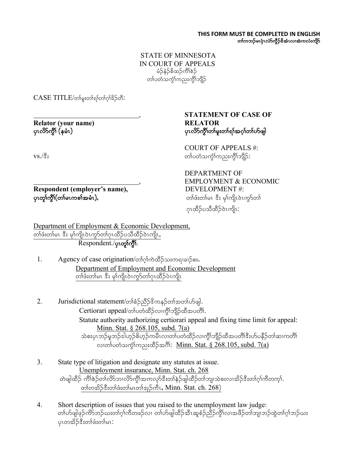#### STATE OF MINNESOTA IN COURT OF APPEALS  $\frac{1}{2}$ န်ဉ်စိထဉ်ကိ $\delta$ ည တ်ပတံသကဲ့်္ဂါကညးကို္ဂါဘျိဉ်

 $CASE$  TITL $E/\infty$ န်းတါရ)်တါဂူါခိဉ်တီ:

**Relator (your name) RELATOR**

, **STATEMENT OF CASE OF** ပုၤလိ $>$ ကိုးတ္ $\mathsf{P}$ မူးတ္ $\mathsf{P}$ ရာအောက်တိဖျါ

COURT OF APPEALS #: vs./ $\hat{\mathbb{S}}$ း whose websolutions was consequently consequently consequently consequently  $\infty$ .

**Respondent (employer's name), ပုၤတူၢ်က္ဂ်ီ၊် (တၢ်မၤကစၢ်အမံၤ), ကားအားအားကြီး အားထားကြီး** တျော်ဖီးတ၊်မၤ အီး မု၊်ကျိၤဝဲၤကွာ်တ၊်

DEPARTMENT OF , EMPLOYMENT & ECONOMIC DEVELOPMENT #:

ดูเထိဉ်ပသီထိဉ်ဝဲၤကျိၤ:

Department of Employment & Economic Development, တၢ်ဖံးတ၊်မၤ ဒီး မုၢ်ကျိၤဝဲၤကွSတၢ်ဂုၤထိဉ်ပသိထိဉ်ဝဲၤကျိၤ, Respondent./ၦၤတု႞ကွိဵ်ာ.

- 1. Agency of case origination/တါဂုါကဲထိဉ်သးကရာချဉ်စး. Department of Employment and Economic Development တ်ဖီးတ်မၤ ဒီး မှာ်ကျိၤဝဲၤကွာ်တာ်ဂုၤထိဉ်ပဲၤကျိၤ
- 2. Jurisdictional statement/တၢိစံဉ်ညိ $\beta$ ဒိကနဉ်တၢ်အတ၊်ဟ်ဖျါ.  $\text{Certiorari appeal}/\text{of}$ ပတံထိဉ်လၢကွိၤ်ဘျိဉ်ထိအပတိၤ်. Statute authority authorizing certiorari appeal and fixing time limit for appeal: Minn. Stat. § 268.105, subd. 7(a) သဲစးပုၤဘဉ်မူဘဉ်ဒါဟ္နာ်စိဟ္နာ်ကမီၤလ၊တၤ်ပတ်ထိဉ်လ၊ကွိၤ်ဘျီဉ်ထီအပတိၤ်ဒီးဟ်ပနိဉ်တၤ်ဆ၊ကတိၤ် လ၊တ္ပါပတဲ့သက္င်္ဂါကညးထိဉ်အဂိါ: Minn. Stat.  $\S$  268.105, subd.  $7(a)$
- 3. State type of litigation and designate any statutes at issue. Unemployment insurance, Minn. Stat. ch. 268 တဲဖျါထိဉ် ကိၢိစဉ်တ၊်လိ၁်ဘၤလိ၁်ကွိၤ်အကလှာ်ဒီးတ၊်နဉ်ဖျါထိဉ်တ၊်ဘျ၊သဲစးလ၊အိဉ်ဒီးတ၊်ဂ့၊်ကီတက္၊်.  $\infty$ တ်တအိဉ်ဒီးတ်ဖုံးတ်မြောက်အုဉ်ကီး, Minn. Stat. ch. 268)
- 4. Short description of issues that you raised to the unemployment law judge: တၢ်ဟ်ဖျါဖုဉ်ကိ9်ဘဉ်ယးတၢ်ဂ့ၢ်ကီတဖဉ်လ၊ တၢ်ဟ်ဖျါထိဉ်အီၤဆူစံဉ်ညိဳဉ်ကွိၢ်လ၊အဖိဉ်တၢ်ဘျ၊ဘဉ်ထွဲတၢ်ဂ့ၢ်ဘဉ်ယး ပုၤတအိဉ်ဒီးတၢ်ဖံးတ၊်မၤ: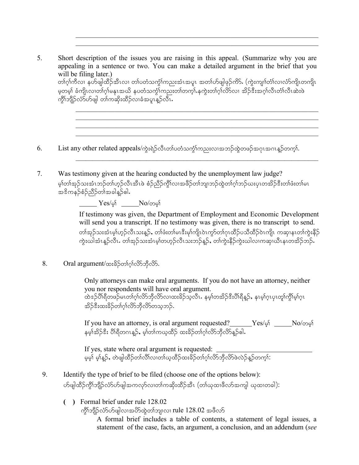5. Short description of the issues you are raising in this appeal. (Summarize why you are appealing in a sentence or two. You can make a detailed argument in the brief that you will be filing later.) တၢ်ဂ့ၢ်ကီလ၊ နဟ်ဖျါထိဉ်အီၤလ၊ တ၊်ပတံသကွဲၤ်ကညးအံၤအပူၤ အတၢ်ဟ်ဖျါဖုဉ်ကိ>်. (ကွဲးကျၢၢ်တံၤ်လ၊လံာ်ကျိၤတကျိၤ မှတမှါ ခံကျိၤလ၊တါဂုါမနုၤအယိ နပတံသက္ဂါကညးတါတက္ $\mathbf{i}_*$ နက္ဂဲးတါဂုါလိ $\mathbf{\infty}_1$  အိဉ်ဒီးအဂ္ဂါလီၤတိၤ်လီၤဆဲးဖဲ ကွိ\်ဘျိဉ်လံာ်ဟ်ဖျါ တၤ်ကဆိုးထိဉ်လၤခံအပူၤန္ဉာလီၤ

6. List any other related appeals/ကွဲးရဲဉ်လီၤတၤ်ပတံသကွဲ်ၤကညးလၢအဘဉ်ထွဲတဖဉ်အဂုၤအဂၤန္နာ်တက္ၤ်.

7. Was testimony given at the hearing conducted by the unemployment law judge? မှာ်တါအုဉ်သးအံၤဘဉ်တါဟုဉ်လီၤအီၤဖဲ စံဉ်ညီဉ်ကွိၤ်လ၊အဖိဉ်တါဘျ၊ဘဉ်ထွဲတါဂ္၊ါဘဉ်ဃးပုၤတအိဉ်ဒီးတါဖံးတါမၤ  $\mathcal{B}$ အိကန $\mathcal{B}$ စ်ဉ်ညီဉ်တ $\mathcal{B}$ အခါနူဉ်ဓါ $\mathcal{B}$ 

<u>—— Yes/မ့</u>ှ် \_\_\_\_\_No/တမ္<mark>)</mark>

If testimony was given, the Department of Employment and Economic Development will send you a transcript. If no testimony was given, there is no transcript to send. တၢ်အုဉ်သးအံၤမ့္ပ်ဟ္ဥလိၤသးန္ဥ်, တျဖံးတျမၤဒီးမှု၊်ကျိုပဲၤကွာ်တ၊်ဂုၤထိဉ်ပသိထိဉ်ဝဲၤကျိၤ ကဆု၊နၤတ၊်ကွဲးနိဉ် ကွဲးယါအံၤန္ဉ်ာလီၤႉ တါအုဉ်သးအံၤမ့္ပ်ာတ္စ္ပာ့ညီလီၤသးဘုဉ်န္ဉာ်, တ္ပါက္မႈနီဉ်ကွဲးယါလၤကဆု၊ယီၤနၤတအိဉ်ဘဉ်ႉ

 $\mathcal{L}_\mathcal{L} = \mathcal{L}_\mathcal{L} = \mathcal{L}_\mathcal{L} = \mathcal{L}_\mathcal{L} = \mathcal{L}_\mathcal{L} = \mathcal{L}_\mathcal{L} = \mathcal{L}_\mathcal{L} = \mathcal{L}_\mathcal{L} = \mathcal{L}_\mathcal{L} = \mathcal{L}_\mathcal{L} = \mathcal{L}_\mathcal{L} = \mathcal{L}_\mathcal{L} = \mathcal{L}_\mathcal{L} = \mathcal{L}_\mathcal{L} = \mathcal{L}_\mathcal{L} = \mathcal{L}_\mathcal{L} = \mathcal{L}_\mathcal{L}$ 

 $\mathcal{L}_\text{max}$  and  $\mathcal{L}_\text{max}$  and  $\mathcal{L}_\text{max}$  and  $\mathcal{L}_\text{max}$  and  $\mathcal{L}_\text{max}$  and  $\mathcal{L}_\text{max}$ 

 $8.$  Oral argument/ထးခိဉ်တၢ်ဂ္ $\delta$ လိာဘိုလိ $\delta$ .

Only attorneys can make oral arguments. If you do not have an attorney, neither you nor respondents will have oral argument. -<br>ထဲဒဉ်ပိၢ်ရိတဖဉ်မၤတၢ်ဂ္၊်လိာဘိုလိာလ၊ထးခိဉ်သူလီၤႉ နမ္န၊်တအိဉ်ဒီးပိၢ်ရီနူဉ်,နၤမ္န၊်ဂ္ၤပုၤတူ၊်က္ဂိၢ်မ့္ပ်ဂ္ၤ အိဉ်နီးထးခိဉ်တ္ပ်ပ္ပ္ပ္ပယ္မွတ္မွတ္မွတ္ထားတာမွာ

If you have an attorney, is oral argument requested? Ves/မှ No/တမ္5 နမ္န၊်အိဉ်ဒီး ပို၊ရီတဂၤန္ဉာ်, မွ၊်တၢ်ကယ္ဇထိဉ် ထးခိဉ်တၢ်ဂ္ဂါလိာဘိုလိာန္ဉ်ေ။.

If yes, state where oral argument is requested: rhrh> Arh>M.<AwJzsgxD.w>vD>vXw>ChxD.x;cd.w>\*h>vdmbSDvdmzJvJ.M.wuh>:

- 9. Identify the type of brief to be filed (choose one of the options below): ဟ်ဖျါထိဉ်ကွိၢ်ဘျိဉ်လံာ်ဟ်ဖျါအကလှာ်လ၊တ၊်ကဆိုးထိဉ်အီၤ (တ၊်ယုထ၊ဖီလာ်အကျါ ယုထ၊တခါ):
	- **( )** Formal brief under rule 128.02
		- ကိုၤ်ဘျိဉ်လံာ်ပာ်ဖျါလၤအပိာ်ထွဲတ<sup>ှ</sup>ဘျၤလၤ rule 128.02 အဖိလာ်

A formal brief includes a table of contents, a statement of legal issues, a statement of the case, facts, an argument, a conclusion, and an addendum (*see*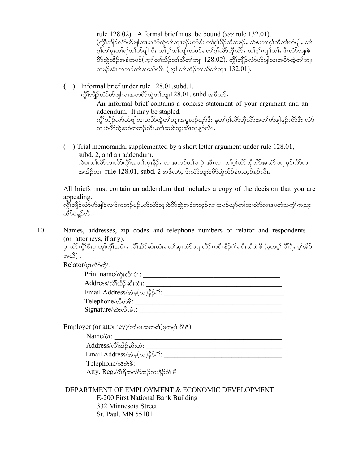rule 128.02). A formal brief must be bound (*see* rule 132.01). (ကွိၢ်ဘျိဉ်လံာ်ပာ်ဖျါလၢအပိာ်ထွဲတၢ်ဘျ၊ပဉ်ယှာ်ဒီး တၢဂုံ၊ခိဉ်တီတဖဉ်, သဲစးတ၊်ဂု၊်ကီတ၊်ဟ်ဖျါ, တ၊် ဂ္)်တ၊်မူးတ၊်ရ၊်တ၊်ဟ်ဖျါ ဒီး တ၊်ဂ္ဂါတ၊်ကျိ၊တဖဉ်, တ၊်ဂ္ဂါလိ်ာဘိုလိ9်, တ၊်ဂ္ဂါကျ၊်တံ၊်, ဒီးလံ9်ဘျးစဲ ဟိသွ်ထိဉ်အခံတဖဉ် $(\gamma_j\ell\, \mathrm{co}$ ါသိဉ်တါသီတါဘျ၊  $128.02)$ . ကွိါဘျိဉ်လံ $5$ ဟ်ဖျါလၢအပိ $5$ ထွဲတါဘျ၊ တဖဉ်အံၤကဘဉ်တ္ပါစၢဃာ်လီၤ $(\varphi)$  တ္ပါသိဉ်တ္ပါသီတ္ပါဘျ၊  $132.01$ ).

 **( )** Informal brief under rule 128.01,subd.1.

ကွိ $128.01$ ,  $\sinh(28.01)$  ကျွိုသိုလ် $\cdot$ 

An informal brief contains a concise statement of your argument and an addendum. It may be stapled. ကွိၢ်ဘျိဉ်လံာ်ပာ်ဖျါလၢတပိာ်ထွဲတn်ဘျ၊အပူၤပဉ်ယှာ်ဒီး နတၢ်ဂုၤ်လိာဘိုလိာ်အတၢ်ပာ်ဖျါဖှဉ်ကိာ်ဒီး လံာ်

```
ဘျးစဲဟိလွှဲအခံတဘုဉ်လီၤ.တၢ်ဆးစဲဘူးအီၤသ့န္ဉ်လီၤ.
```
 ( ) Trial memoranda, supplemented by a short letter argument under rule 128.01, subd. 2, and an addendum. သဲစးတၢ်လိာဘၢလိာ်ကွိၢ်အတၢ်ကွဲးနိဉ်, လၢအဘဉ်တ၊်မၤပုံၤအီၤလ၊ တၢ်ဂ္ဂါလိာ်ဘိုလိာ်အလံာ်ပရၢဖုဉ်ကိာ်လ၊ အအိဉ်လ $\cdot$ rule  $128.01,$   $\mathrm{subd.}$  2 အဖိလ $\mathrm{s.}$  နီးလံာ်ဘူးစဲပိာ်ထဲထိဉ်ခံတဘ္ဝ်န္ဉာ်လီ $\mathrm{h.}$ 

All briefs must contain an addendum that includes a copy of the decision that you are appealing.

ကွိ<sup>ု်</sup>ဘျိဉ်လံာ်ဟ်ဖျါခဲလ<sup>ှ</sup>က်ကဘဉ်ပဉ်ယုဉ်လံာ်ဘျးစဲပိာ်ထွဲအခံတဘ့ဉ်လၢအပဉ်ယုဉ်တါဆၢတဲာ်လၢနပတံသကွံ<sup>ု</sup>ကညး ထိဉ်ဝဲန္ ဉ်လီၤ.

10. Names, addresses, zip codes and telephone numbers of relator and respondents (or attorneys, if any).

ှဲပုလိ်ာကွီးဒီးပုံးတွက်ွိုအမ်ံး,လိုဆိဉ်ဆီးထံး,တါဆု၊လံာ်ပရၢဟိဉ်ကဝီးနိဉ်ဂံ၊်,ဒီးလီတဲစိ (မှတမ့)် ပိါရီ, မ့္ပ်အိဉ် အယိ) .

Relator/ပုၤလိSကို:

| Print name/ $\phi_i$ :လီးပံ1:                               |  |
|-------------------------------------------------------------|--|
| Address/လိ <sup>ု</sup> အိ>်ဆီးထံး:                         |  |
| Email Address/ $\dot{\mathcal{D}}$ မ္ $(\infty)$ နိ5်င္ပံု: |  |
| Telephone/လီတဲစိ:                                           |  |
| Signature/3: လီးမံုး:                                       |  |

Address/vD>td.qd;xH; \_\_\_\_\_\_\_\_\_\_\_\_\_\_\_\_\_\_\_\_\_\_\_\_\_\_\_\_\_\_\_\_\_\_\_\_\_\_\_

 $Emplayer$  (or attorney)/တါမၤအကစါ(မှတမ္ $\delta$ ါ ပြီရိ):

Name/rHR: \_\_\_\_\_\_\_\_\_\_\_\_\_\_\_\_\_\_\_\_\_\_\_\_\_\_\_\_\_\_\_\_\_\_\_\_\_\_\_\_\_\_\_\_\_\_\_\_

Email Address/tHrh(v)eD.\*H>: \_\_\_\_\_\_\_\_\_\_\_\_\_\_\_\_\_\_\_\_\_\_\_\_\_\_\_\_\_\_\_\_\_\_\_

 $\text{Telephone} \wedge \text{\texttt{\%}} \wedge \text{\texttt{\%}}: \underline{\hspace{2.5cm}}$ 

Atty. Reg./yD>&DtvHmtk.o;eD.\*H> # \_\_\_\_\_\_\_\_\_\_\_\_\_\_\_\_\_\_\_\_\_\_\_\_\_\_\_\_\_\_

#### DEPARTMENT OF EMPLOYMENT & ECONOMIC DEVELOPMENT E-200 First National Bank Building 332 Minnesota Street St. Paul, MN 55101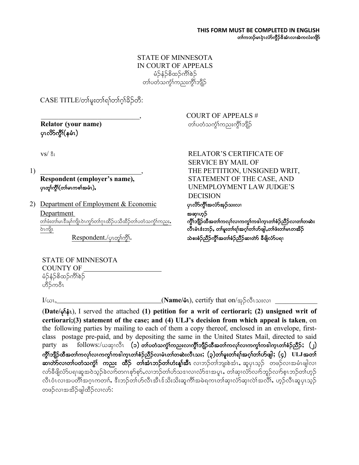#### STATE OF MINNESOTA IN COURT OF APPEALS မံဉိနံဉိစိထဉ်ကိၢိစဉ် တၤ်ပတံသက္ခါကညးကိုၤ်ဘျိဉ်

 $CASE\ TITLE\sim$ က်မူးတါရာတါဂ္ဂါခိဉ်တီ:

ပုၤလိ>်ကွီ််(နမံၤ)

 \_\_\_\_\_\_\_\_\_\_\_\_\_\_\_\_\_\_\_\_\_\_\_\_\_\_\_\_,COURT OF APPEALS # **Relator (your name)** ကားသား အသုံးသည် အသုံးကြသေးတို့ကြည်း ကျွန်

2) Department of Employment & Economic ပုလိုက်ိုးအလ်အည်သးလျ  $\frac{\text{Department}}{\text{388002}}$ တါဖံးတါမၤဒီးမုါကျိုပဲၤကွSတါဂုၤထိဉ်ပသိထိဉ်တါပတံသက္ငါကညး**, ကွိၢ်ဘျိဉ်ထီအတါကလု၊်လၢကကွ၊်ကဒါက္ၤတၢႆစံဉ်ညီဉ်လၢတၢ်တဆဲး** 0JRusdR vDRrHR'H;b.<Aw>rl;w>&>t\*h>w>ymzsg< w>zH;w>rRwtd.

 $Respondent./$ ပုၤတုၢ်ကွိၢ်. ကားသားသောအော်ညီဉ်ကိုရ်အတ**်္**ချီညီဉ်ဆက်သိ ခီဖြိုလ်ာပရာ

vs/  $\frac{8}{3}$ ; RELATOR'S CERTIFICATE OF SERVICE BY MAIL OF 1) THE PETTITION, UNSIGNED WRIT, **Respondent (employer's name),** STATEMENT OF THE CASE, AND ပုလျှဴကျွို(တါမၤကစါအမံၤ), ပNEMPLOYMENT LAW JUDGE'S DECISION

STATE OF MINNESOTA COUNTY OF မံဉိနံဉိစိထဉ်ကိၢိစဉ် ဟိဉ်ကဝီၤ

 $I/\omega$ 1, <u>Congress of the contract (Name/</u>  $\delta$ 1), certify that on/အု $\delta$ လီးသးလ၊

(**Date/** rk>eHR), I served the attached **(1) petition for a writ of certiorari; (2) unsigned writ of certiorari;(3) statement of the case; and (4) ULJ's decision from which appeal is taken**, on the following parties by mailing to each of them a copy thereof, enclosed in an envelope, firstclass postage pre-paid, and by depositing the same in the United States Mail, directed to said party as follows:/ယဆုၤလိၤ **(၁)တ်္ာတ္မွဴးတည္းလ၊က္ဂိၤာျိာထီအတၤဴကလုၤဴလ၊ကက္ဂၤဴကဒါက္ၤတၢဴစံဉ်ညီဉ်; (၂)** ကွိ\်ဘျီဉ်ထီအတၤ်ကလုၤ်လၤကကွ\်ကဒါက္ၤတၤ်စံဉ်ညိႆဉ်လၢမံၤတၤ်တဆဲးလီၤသး; (၃)တၤ်မူးတၤ်ရၤ်အဂ္ဂါတၤ်ဟ်ဖျါ; (၄) ULJ အတၤ် ဆက်လေးတပ်တဲ့သက္က် ကညး ထိဉ် တစ်ားဘည်တပ်ားနှုံအီး လ၊ဘဉ်တ၊်ဘူးစဲအံၤ, ဆူပုၤသ္ဉ် တဖဉ်လ၊အမံၤဖျါလ၊ လာ်ခီဖျိလံာ်ပရၢဆူအဝဲသုဉ်ခဲလက်တဂၤစုာ်စုာ်ႇလၢဘဉ်တ၊်ဟ်သဒၤလၤလံာ်ဒၢအပူၤႇ တၢ်ဆု၊လံာ်လၢာ်ဘူဉ်လက်စ့ၤဘဉ်တ၊်ဟုဉ် ့<br>လီၤဝံၤလၢအပတိၢ်အဂ္ဂၤကတၢါ, ဒီးဘဉ်တ၊်ဟ်လီၤအီၤဒ်သိးသိုးဆူကိၢ်အမဲရကၤတၢ်ဆု၊လာဆု၊လဲ၊အလိ၊, ဟှဉ်လီၤဆူပုၤသွဉ် တဖဉ်လၢအအိဉ်ဖျါထိဉ်လၢလာ်: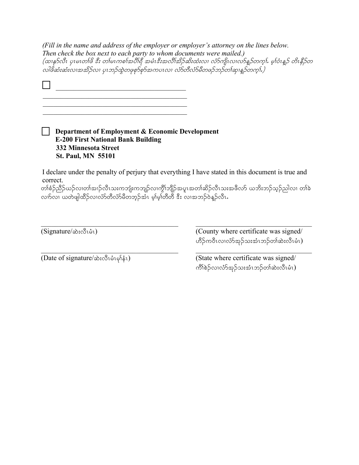*(Fill in the name and address of the employer or employer's attorney on the lines below. Then check the box next to each party to whom documents were mailed.)* (ထၢနုSလီၤ ပှၤမၤတ $i$ ဖိ ဒီး တ $i$ မၤကစ $i$ အပီးရီ အမံၤဒီးအလီးအိဉ်ဆိးထံးလ၊ လံ $S$ ကျိၤလ၊လ $S$ န္ $S$ တက္ $i$ . မ္ $i$ ဝံၤန္ $S$  တိၤနီ $\beta$ တ လါဖိဆံးဆံးလၢအအိဉ်လ၊ ပုၤဘဉ်ထွဲတဖုစုာ်စုာ်အကပၤလ၊ လံာ်တီလံာ်မီတဖဉ်ဘဉ်တၢ်ဆု၊န္ဒဉ်တက့ၤ်.)

**Department of Employment & Economic Development E-200 First National Bank Building 332 Minnesota Street St. Paul, MN 55101**

I declare under the penalty of perjury that everything I have stated in this document is true and correct.

တၢ်စံဉ်ညိဉ်ယဉ်လ၊တ၊်အ၊ဉ်လီၤသးကဘျံးကဘျဉ်လ၊ကွိၢ်ဘျိဉ်အပူၤအတ၊်ဆိဉ်လီၤသးအဖိလာ် ယဘိးဘဉ်သ့ဉ်ညါလ၊ တၢ်ခဲ လက်လ၊ ယတဲဖျါထိဉ်လ၊လံာ်တိလံာ်မိတဘ့ဉ်အံၤ မ့ၢ်မ့ၢ်တိတီ ဒီး လ၊အဘဉ်ဝဲန္ဝ်ာလီၤ $\boldsymbol{\cdot}$ 

(Signature/ $\hat{\infty}$ : $\hat{\infty}$ 1) (County where certificate was signed/ ကိဉ်ကဝီၤလၢလံာ်အုဉ်သးအံၤဘဉ်တၢ်ဆဲးလီၤမံၤ)

(Date of signature/ $\hat{\infty}$ :လီၤမံၤမုန်း) (State where certificate was signed/ ကိၢ်စဉ်လ၊လံာ်အှဉ်သးအံၤဘဉ်တ၊်ဆဲးလီၤမံၤ)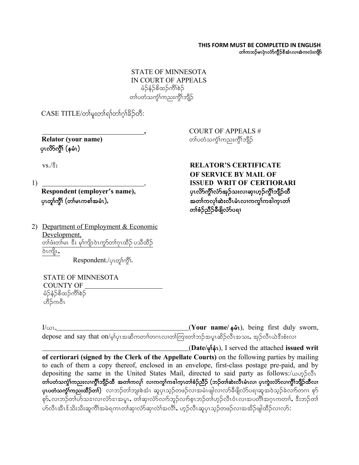#### **THIS FORM MUST BE COMPLETED IN ENGLISH** တၢ်ကဘဉ်မၤပုံၤလံာ်ကွိဉ်&အံၤလ၊အဲကလံးကျိဉ်

STATE OF MINNESOTA IN COURT OF APPEALS မံဉ်နံဉ်စိထဉ်ကိၢိစဉ် တၤ်ပတံသက္ခံโကညးကွိၤ်ဘျိဉ်

 $CASE$  TITLE/တါမူးတါရါတါဂူါခိဉ်တီ:

ပုၤလိ>်ကွီ် (နမံၤ)

2) Department of Employment & Economic Development, တ်ဖီးတမြေး ဒီး မှ)်ကျယ်ကွာ်တာ်ဂူးထိဉ် ပသိထိဉ် <u>ბ</u>ၤကျိၤ,

Respondent./ပုၤတု႞က္ဂိၤ်

STATE OF MINNESOTA COUNTY OF  $\frac{1}{2}$ န်ဉ်စိထဉ်ကိ $\frac{1}{2}$ ဟိဉ်ကဝီၤ

I/,R, (**Your name/** erHR), being first duly sworn,  $d$ epose and say that on/မ့ $\mathfrak{h}$ ပုၾဆိကတ $\mathfrak{h}$ တ $\mathfrak{so}$ ကားတ $\mathfrak{so}$ ညားမှုအိုကီးအသး, အုဉ်လီၤယဲဒီးစံးလ $\mathfrak{h}$ 

(**Date/** rk>eHR), I served the attached **issued writ of certiorari (signed by the Clerk of the Appellate Courts)** on the following parties by mailing to each of them a copy thereof, enclosed in an envelope, first-class postage pre-paid, and by depositing the same in the United States Mail, directed to said party as follows:/ $\omega$   $\delta$ တၢ်ပတံသကွံၤ်ကညးလ၊ကွိၤ်ဘျိဉ်ထိ အတၢ်ကလုၤ် လ၊ကကွၤ်ကဒါက္ၤတၢ်စံဉ်ညိဉ် (ဘဉ်တၢ်ဆဲးလီၤမံၤလ၊ ပုၤကွဲးလံာ်လ၊ကွိၤ်ဘျိဉ်ထိလ၊ **ပုၤပတံသက္ခံ႞ကညးထိဉ်တၢ်)** လၢဘဉ်တၢ်ဘျးစဲအံၤ ဆူပုၤသ့ဉ်တဖဉ်လၢအမံၤဖျါလၢလာ်ခီဖျိလံာ်ပရၢဆူအဝဲသ့ဉ်ခဲလၢာ်တဂၤ စုာ် စုာ်, လၢဘဉ်တၢ်ဟ်သဒၢလၢလံာ်ဒၢအပူၤ, တၢ်ဆု၊လံာ်လ၊ာ်ဘူဉ်လ၊ာ်စ့ၤဘဉ်တ၊်ဟ္ဉ်လီၤဝံၤလ၊အပတိၢ်အဂ္ၤကတၢၢ်, ဒီးဘဉ်တ၊် ဟ်လီၤအီၤဒ်သိးသိးဆူကီၢ်အမဲရကၤတၢ်ဆု၊လံာ်ဆု၊လဲၢ်အလိၢ်,ဟုဉ်လီၤဆူပုၤသ္ဉ်တဖဉ်လ၊အအိဉ်ဖျါထီဉ်လ၊လာ်:

**,** COURT OF APPEALS # **Relator (your name)** which is a whore proportional proportional control  $\infty$ 

vs./ $\frac{8}{3}$ **: RELATOR'S CERTIFICATE OF SERVICE BY MAIL OF** 1) , **ISSUED WRIT OF CERTIORARI** Respondent (employer's name), <sub>Y</sub>ၤလိ>်ကွိၤ်လံာ်အုဉ်သးလၢဆု၊ဟ့ဉ်ကွိၢ်ဘျိဉ်ထိ ပုၤတူါကွိ<sup>ု</sup> (တါမၤကစါအမံၤ), ကာဘာလာသည် အတါကလုပ်ဆဲးလီၤမံၤလၢကကွါကဒါက္ၤတါ တၢ်စဉ်ညီဉ်ခီဖျိလံာ်ပရာ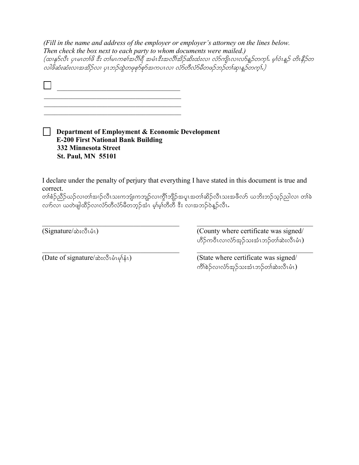*(Fill in the name and address of the employer or employer's attorney on the lines below. Then check the box next to each party to whom documents were mailed.)* (ထၢနု>်လီၤ ပုၤမၤတၢ်ဖိ ဒီး တ၊်မၤကစၢ်အပိၢ်ရီ အမံၤဒီးအလိၢ်အိဉ်ဆိးထံးလ၊ လံ>်ကျိၤလ၊လ်>န္ ဉ်တက္ငါ. မူၢ်ဝံၤန္ ဉ် တိၤနိဉ်တ ,<br>လါဖိဆံးဆံးလၢအအိဉ်လ၊ ပုၤဘဉ်ထွဲတဖုစု၁်စွာအကပၤလ၊ လာ်တီလံာမီတဖဉ်ဘဉ်တ၊်ဆု၊နဉ်တကွၤ်)

**Department of Employment & Economic Development E-200 First National Bank Building 332 Minnesota Street St. Paul, MN 55101**

 $\frac{1}{2}$  ,  $\frac{1}{2}$  ,  $\frac{1}{2}$  ,  $\frac{1}{2}$  ,  $\frac{1}{2}$  ,  $\frac{1}{2}$  ,  $\frac{1}{2}$  ,  $\frac{1}{2}$  ,  $\frac{1}{2}$  ,  $\frac{1}{2}$  ,  $\frac{1}{2}$  ,  $\frac{1}{2}$  ,  $\frac{1}{2}$  ,  $\frac{1}{2}$  ,  $\frac{1}{2}$  ,  $\frac{1}{2}$  ,  $\frac{1}{2}$  ,  $\frac{1}{2}$  ,  $\frac{1$  $\mathcal{L}_\text{max}$  , which is a set of the set of the set of the set of the set of the set of the set of the set of the set of the set of the set of the set of the set of the set of the set of the set of the set of the set of

I declare under the penalty of perjury that everything I have stated in this document is true and correct.

တၢ်စံဉ်ညိဉ်ယဉ်လ၊တၢ်အ၊ဉ်လီၤသးကဘျုံးကဘျဉ်လ၊ကွိၢ်ဘျိဉ်အပူၤအတၢ်ဆိဉ်လီၤသးအဖိလာ် ယဘိးဘဉ်သူဉ်ညါလ၊ တၢ်ခဲ လည်လာ ယတ်ဖျါထိဉ်လာလ်ာ်တီလာမီတဘုဉ်အီး၊ မဲ့၊မဲ့၊်တီတီ ဒီး လာအဘဉ်ဝဲနဉ်လီး

(Signature/ $\triangle$ :လီးမံး) (County where certificate was signed/ ဟိဉ်ကဝီၤလၢလံာ်အှဉ်သးအံၤဘဉ်တၢ်ဆဲးလီၤမံၤ)

(Date of signature/ဆဲးလီၤမံၤမုန်း) (State where certificate was signed/ ကိ<sup>ု</sup>စဲဉ်လ၊လံာ်အုဉ်သးအံၤဘဉ်တၢ်ဆဲးလီၤမံၤ)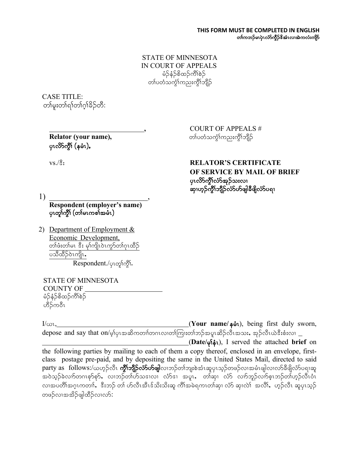#### **THIS FORM MUST BE COMPLETED IN ENGLISH** တၢ်ကဘဉ်မၤပုံၤလံာ်ကွိဉ်&အံၤလ၊အဲကလံးကျိဉ်

STATE OF MINNESOTA IN COURT OF APPEALS မံဉိနံဉိစိထဉ်ကိၢိစဉ် တၤ်ပတံသက္ဂၤ်ကညးကွိၤ်ဘိ<mark>ု</mark>ဉ်

CASE TITLE: တၢ်မူးတၢ်ရာတာ်ဂူးခ်ဉ်တီ:

> **Relator (your name), ကားမြန်မာ အားလော** တပ်တံသက္ခံရတည်းကွိ<sup>ု</sup>ဘျိ ပုၤလိ>်ကွိ<sup>ု</sup> (နမံၤ),

**,** COURT OF APPEALS #

#### vs./ $\hat{S}$ **: RELATOR'S CERTIFICATE OF SERVICE BY MAIL OF BRIEF** ပုၤလိ $5$ ကိုၤ်လ်အုဉ်သးလၢ ဆုံးတွက်သည် သိုလ်သို့များဆိုရင် သို့

1) \_\_\_\_\_\_\_\_\_\_\_\_\_\_\_\_\_\_\_\_\_\_\_\_, **Respondent (employer's name)** ပုၤတုၢ်က္ဂ်ီ၊ (တၢ်မၤကစၢ်အမံၤ)

2) Department of Employment & Economic Development, တ်ဖီးတ်မၤ ဒီး မှ)်ကျယ်ကွာတ်ဂူၤထိဉ် ပသီထိဉ်ဝဲၤကျိၤ, Respondent./ပုၤတု၊်ကွိ၊်.

STATE OF MINNESOTA COUNTY OF မံဉိနံဉိစိထဉ်ကိၢိစဉ် ဟိဉ်ကဝီၤ

I/ωι, I/ωι, I/ωι, I/ωι, I/ωι, I/ωι, I/ωι, I/ωι, I/ωι, I/ωι, I/ωι, I/ωι, I/ωι, I/ωι, I/ωι, I/ωι, I/ωι, I/ωι, I/ω  $\alpha$  depose and say that on/မ့ $\rho$ ုၾအဆိကတ $n$ လ $\alpha$ တက်ကြူးတ $n$ ဘန်္အမှု၊ဆိုညီလီးအသး, အုဉ်လီးယဲဒီးစံးလ $n=1$ 

(**Date/** rk>eHR), I served the attached **brief** on the following parties by mailing to each of them a copy thereof, enclosed in an envelope, firstclass postage pre-paid, and by depositing the same in the United States Mail, directed to said party as follows:/ယဟုဉ်လီၤ **ကွိၤ်ဘျိဉ်လ်ာ်ဟ်ဖျါ**လ၊ဘဉ်တၢ်ဘျးစဲအံၤဆူပုၤသုဉ်တဖဉ်လၢအမံၤဖျါလ၊လာ်ခီဖျိလံာ်ပရ၊ဆူ အဝဲသုဉ်ခဲလၢာ်တဂၤစုာ်စုာ်, လၢဘဉ်တၢ်ဟ်သဒၤလ၊ လံာ်ဒ၊ အပူၤ, တါဆု၊ လံာ် လၢာ်ဘူဉ်လ၊ာ်စ့ၤဘဉ်တ၊်ဟုဉ်လီၤဝံၤ လ၊အပတိၢ်အဂ္ဂၤကတၢါ, းီးဘဉ် တ၊် ဟ်လီၤအီၤဒ်သိးသိးဆူ ကိၢ်အမဲရကၤတၢ်ဆု၊ လံာ် ဆု၊လဲ၊ အလိၢ်, 'ဟှဉ်လီၤ ဆူပုၤသ္ဉ် တဖဉ်လၢအအိဉ်ဖျါထိဉ်လ၊လာ်: